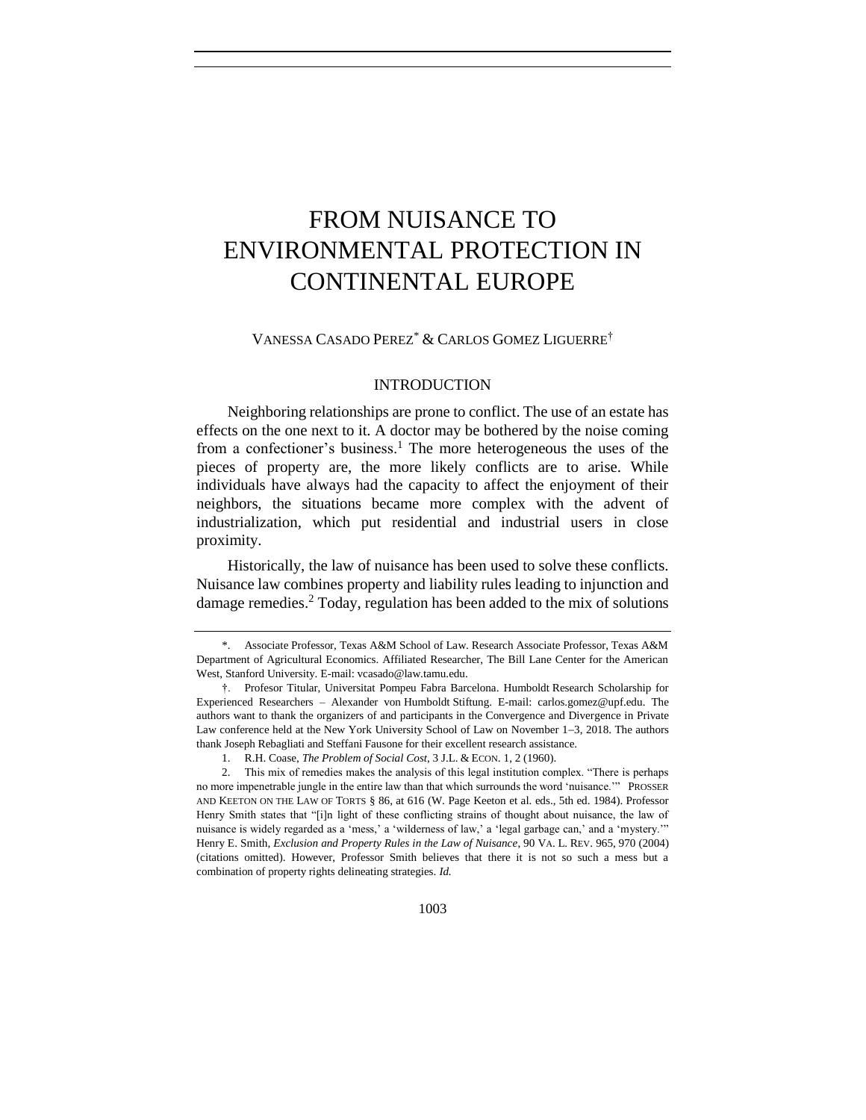# FROM NUISANCE TO ENVIRONMENTAL PROTECTION IN CONTINENTAL EUROPE

VANESSA CASADO PEREZ\* & CARLOS GOMEZ LIGUERRE†

### INTRODUCTION

Neighboring relationships are prone to conflict. The use of an estate has effects on the one next to it. A doctor may be bothered by the noise coming from a confectioner's business.<sup>1</sup> The more heterogeneous the uses of the pieces of property are, the more likely conflicts are to arise. While individuals have always had the capacity to affect the enjoyment of their neighbors, the situations became more complex with the advent of industrialization, which put residential and industrial users in close proximity.

<span id="page-0-0"></span>Historically, the law of nuisance has been used to solve these conflicts. Nuisance law combines property and liability rules leading to injunction and damage remedies.<sup>2</sup> Today, regulation has been added to the mix of solutions

<sup>\*.</sup> Associate Professor, Texas A&M School of Law. Research Associate Professor, Texas A&M Department of Agricultural Economics. Affiliated Researcher, The Bill Lane Center for the American West, Stanford University. E-mail: vcasado@law.tamu.edu.

<sup>†.</sup> Profesor Titular, Universitat Pompeu Fabra Barcelona. Humboldt Research Scholarship for Experienced Researchers – Alexander von Humboldt Stiftung. E-mail: carlos.gomez@upf.edu. The authors want to thank the organizers of and participants in the Convergence and Divergence in Private Law conference held at the New York University School of Law on November 1−3, 2018. The authors thank Joseph Rebagliati and Steffani Fausone for their excellent research assistance.

<sup>1.</sup> R.H. Coase, *The Problem of Social Cost*, 3 J.L. & ECON. 1, 2 (1960).

<sup>2.</sup> This mix of remedies makes the analysis of this legal institution complex. "There is perhaps no more impenetrable jungle in the entire law than that which surrounds the word 'nuisance.'" PROSSER AND KEETON ON THE LAW OF TORTS § 86, at 616 (W. Page Keeton et al. eds., 5th ed. 1984). Professor Henry Smith states that "[i]n light of these conflicting strains of thought about nuisance, the law of nuisance is widely regarded as a 'mess,' a 'wilderness of law,' a 'legal garbage can,' and a 'mystery.'" Henry E. Smith, *Exclusion and Property Rules in the Law of Nuisance*, 90 VA. L. REV. 965, 970 (2004) (citations omitted). However, Professor Smith believes that there it is not so such a mess but a combination of property rights delineating strategies. *Id.*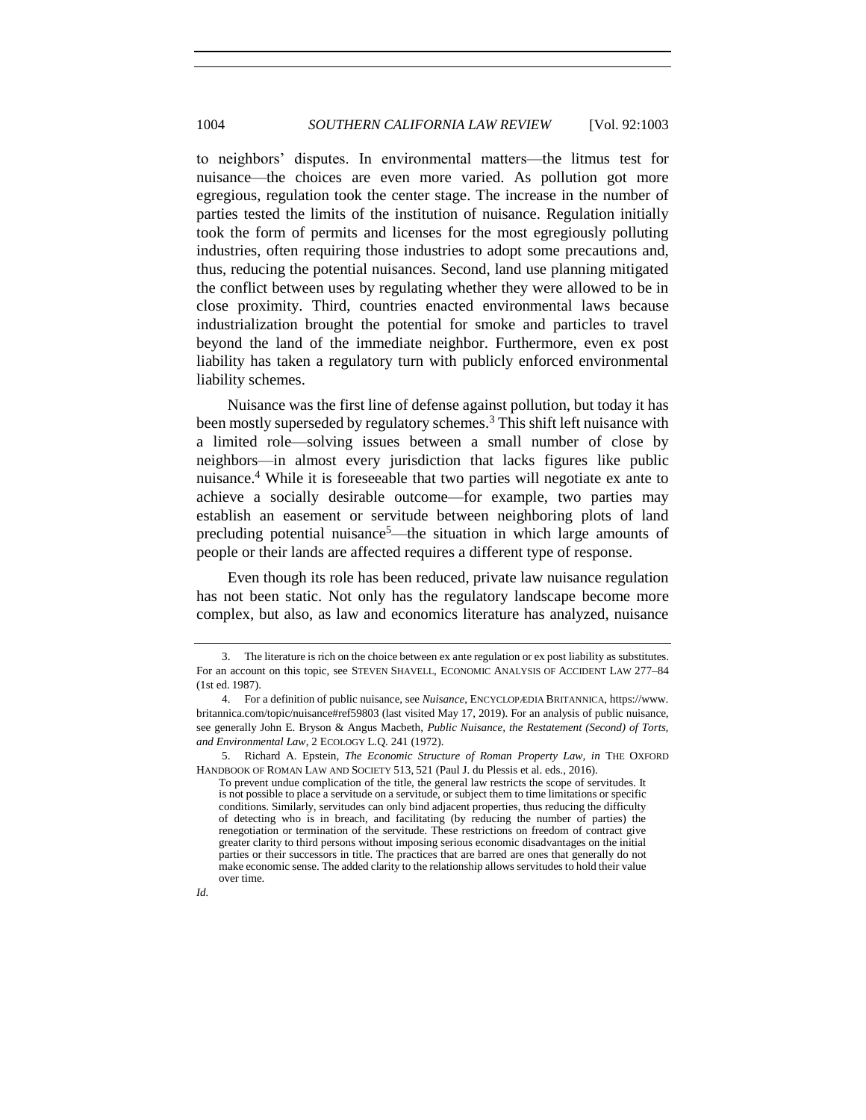<span id="page-1-0"></span>to neighbors' disputes. In environmental matters—the litmus test for nuisance—the choices are even more varied. As pollution got more egregious, regulation took the center stage. The increase in the number of parties tested the limits of the institution of nuisance. Regulation initially took the form of permits and licenses for the most egregiously polluting industries, often requiring those industries to adopt some precautions and, thus, reducing the potential nuisances. Second, land use planning mitigated the conflict between uses by regulating whether they were allowed to be in close proximity. Third, countries enacted environmental laws because industrialization brought the potential for smoke and particles to travel beyond the land of the immediate neighbor. Furthermore, even ex post liability has taken a regulatory turn with publicly enforced environmental liability schemes.

Nuisance was the first line of defense against pollution, but today it has been mostly superseded by regulatory schemes.<sup>3</sup> This shift left nuisance with a limited role—solving issues between a small number of close by neighbors—in almost every jurisdiction that lacks figures like public nuisance.<sup>4</sup> While it is foreseeable that two parties will negotiate ex ante to achieve a socially desirable outcome—for example, two parties may establish an easement or servitude between neighboring plots of land precluding potential nuisance<sup>5</sup>—the situation in which large amounts of people or their lands are affected requires a different type of response.

Even though its role has been reduced, private law nuisance regulation has not been static. Not only has the regulatory landscape become more complex, but also, as law and economics literature has analyzed, nuisance

<sup>3.</sup> The literature is rich on the choice between ex ante regulation or ex post liability as substitutes. For an account on this topic, see STEVEN SHAVELL, ECONOMIC ANALYSIS OF ACCIDENT LAW 277–84 (1st ed. 1987).

<sup>4.</sup> For a definition of public nuisance, see *Nuisance*, ENCYCLOPÆDIA BRITANNICA, https://www. britannica.com/topic/nuisance#ref59803 (last visited May 17, 2019). For an analysis of public nuisance, see generally John E. Bryson & Angus Macbeth, *Public Nuisance, the Restatement (Second) of Torts, and Environmental Law*, 2 ECOLOGY L.Q. 241 (1972).

<sup>5.</sup> Richard A. Epstein, *The Economic Structure of Roman Property Law, in* THE OXFORD HANDBOOK OF ROMAN LAW AND SOCIETY 513, 521 (Paul J. du Plessis et al. eds., 2016).

To prevent undue complication of the title, the general law restricts the scope of servitudes. It is not possible to place a servitude on a servitude, or subject them to time limitations or specific conditions. Similarly, servitudes can only bind adjacent properties, thus reducing the difficulty of detecting who is in breach, and facilitating (by reducing the number of parties) the renegotiation or termination of the servitude. These restrictions on freedom of contract give greater clarity to third persons without imposing serious economic disadvantages on the initial parties or their successors in title. The practices that are barred are ones that generally do not make economic sense. The added clarity to the relationship allows servitudes to hold their value over time.

*Id.*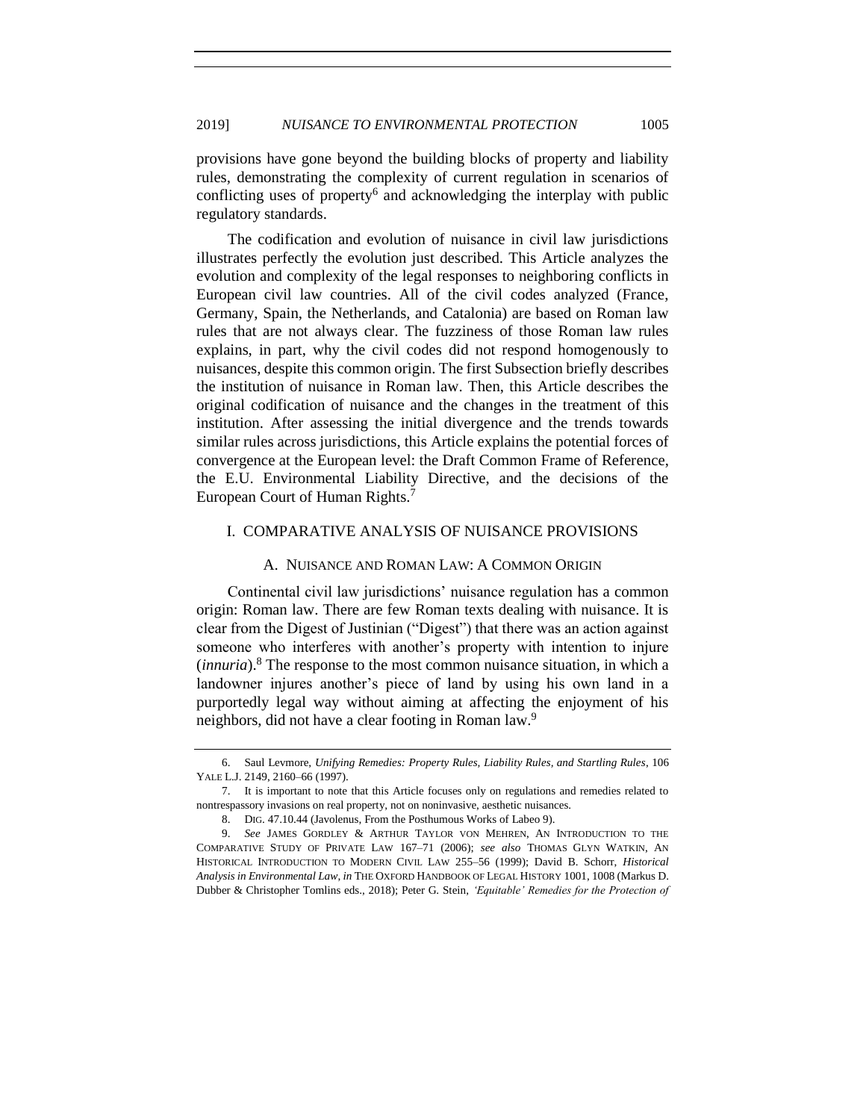provisions have gone beyond the building blocks of property and liability rules, demonstrating the complexity of current regulation in scenarios of conflicting uses of property<sup>6</sup> and acknowledging the interplay with public regulatory standards.

The codification and evolution of nuisance in civil law jurisdictions illustrates perfectly the evolution just described. This Article analyzes the evolution and complexity of the legal responses to neighboring conflicts in European civil law countries. All of the civil codes analyzed (France, Germany, Spain, the Netherlands, and Catalonia) are based on Roman law rules that are not always clear. The fuzziness of those Roman law rules explains, in part, why the civil codes did not respond homogenously to nuisances, despite this common origin. The first Subsection briefly describes the institution of nuisance in Roman law. Then, this Article describes the original codification of nuisance and the changes in the treatment of this institution. After assessing the initial divergence and the trends towards similar rules across jurisdictions, this Article explains the potential forces of convergence at the European level: the Draft Common Frame of Reference, the E.U. Environmental Liability Directive, and the decisions of the European Court of Human Rights.<sup>7</sup>

## I. COMPARATIVE ANALYSIS OF NUISANCE PROVISIONS

#### <span id="page-2-0"></span>A. NUISANCE AND ROMAN LAW: A COMMON ORIGIN

Continental civil law jurisdictions' nuisance regulation has a common origin: Roman law. There are few Roman texts dealing with nuisance. It is clear from the Digest of Justinian ("Digest") that there was an action against someone who interferes with another's property with intention to injure (*innuria*).<sup>8</sup> The response to the most common nuisance situation, in which a landowner injures another's piece of land by using his own land in a purportedly legal way without aiming at affecting the enjoyment of his neighbors, did not have a clear footing in Roman law.<sup>9</sup>

<sup>6.</sup> Saul Levmore, *Unifying Remedies: Property Rules, Liability Rules, and Startling Rules*, 106 YALE L.J. 2149, 2160–66 (1997).

<sup>7.</sup> It is important to note that this Article focuses only on regulations and remedies related to nontrespassory invasions on real property, not on noninvasive, aesthetic nuisances.

<sup>8.</sup> DIG. 47.10.44 (Javolenus, From the Posthumous Works of Labeo 9).

<sup>9.</sup> *See* JAMES GORDLEY & ARTHUR TAYLOR VON MEHREN, AN INTRODUCTION TO THE COMPARATIVE STUDY OF PRIVATE LAW 167–71 (2006); *see also* THOMAS GLYN WATKIN, AN HISTORICAL INTRODUCTION TO MODERN CIVIL LAW 255–56 (1999); David B. Schorr, *Historical Analysis in Environmental Law*, *in* THE OXFORD HANDBOOK OF LEGAL HISTORY 1001, 1008 (Markus D. Dubber & Christopher Tomlins eds., 2018); Peter G. Stein, *'Equitable' Remedies for the Protection of*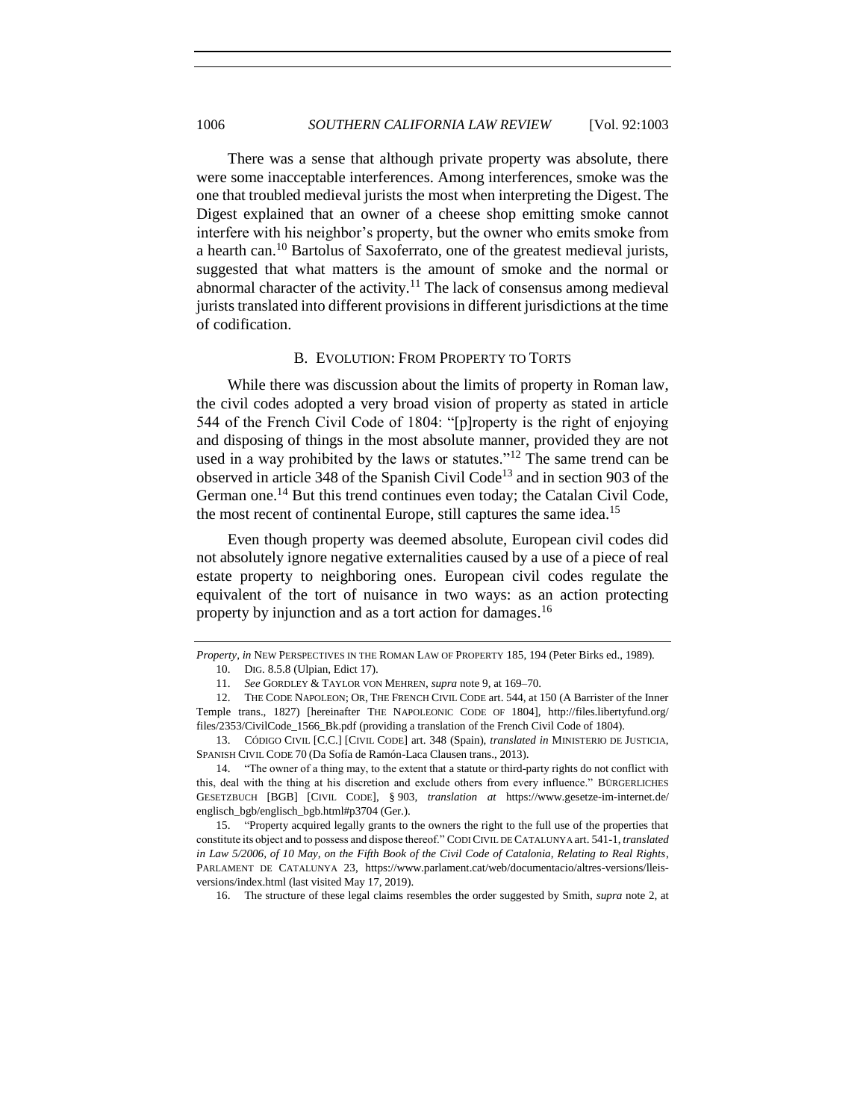<span id="page-3-0"></span>There was a sense that although private property was absolute, there were some inacceptable interferences. Among interferences, smoke was the one that troubled medieval jurists the most when interpreting the Digest. The Digest explained that an owner of a cheese shop emitting smoke cannot interfere with his neighbor's property, but the owner who emits smoke from a hearth can.<sup>10</sup> Bartolus of Saxoferrato, one of the greatest medieval jurists, suggested that what matters is the amount of smoke and the normal or abnormal character of the activity.<sup>11</sup> The lack of consensus among medieval jurists translated into different provisions in different jurisdictions at the time of codification.

## <span id="page-3-2"></span><span id="page-3-1"></span>B. EVOLUTION: FROM PROPERTY TO TORTS

While there was discussion about the limits of property in Roman law, the civil codes adopted a very broad vision of property as stated in article 544 of the French Civil Code of 1804: "[p]roperty is the right of enjoying and disposing of things in the most absolute manner, provided they are not used in a way prohibited by the laws or statutes."<sup>12</sup> The same trend can be observed in article 348 of the Spanish Civil Code<sup>13</sup> and in section 903 of the German one.<sup>14</sup> But this trend continues even today; the Catalan Civil Code, the most recent of continental Europe, still captures the same idea.<sup>15</sup>

Even though property was deemed absolute, European civil codes did not absolutely ignore negative externalities caused by a use of a piece of real estate property to neighboring ones. European civil codes regulate the equivalent of the tort of nuisance in two ways: as an action protecting property by injunction and as a tort action for damages.<sup>16</sup>

16. The structure of these legal claims resembles the order suggested by Smith, *supra* note [2,](#page-0-0) at

*Property*, *in* NEW PERSPECTIVES IN THE ROMAN LAW OF PROPERTY 185, 194 (Peter Birks ed., 1989). 10. DIG. 8.5.8 (Ulpian, Edict 17).

<sup>11.</sup> *See* GORDLEY & TAYLOR VON MEHREN, *supra* not[e 9,](#page-2-0) at 169–70.

<sup>12.</sup> THE CODE NAPOLEON; OR, THE FRENCH CIVIL CODE art. 544, at 150 (A Barrister of the Inner Temple trans., 1827) [hereinafter THE NAPOLEONIC CODE OF 1804], http://files.libertyfund.org/ files/2353/CivilCode\_1566\_Bk.pdf (providing a translation of the French Civil Code of 1804).

<sup>13.</sup> CÓ DIGO CIVIL [C.C.] [CIVIL CODE] art. 348 (Spain), *translated in* MINISTERIO DE JUSTICIA, SPANISH CIVIL CODE 70 (Da Sofía de Ramón-Laca Clausen trans., 2013).

<sup>14.</sup> "The owner of a thing may, to the extent that a statute or third-party rights do not conflict with this, deal with the thing at his discretion and exclude others from every influence." BÜRGERLICHES GESETZBUCH [BGB] [CIVIL CODE], § 903, *translation at* https://www.gesetze-im-internet.de/ englisch\_bgb/englisch\_bgb.html#p3704 (Ger.).

<sup>15.</sup> "Property acquired legally grants to the owners the right to the full use of the properties that constitute its object and to possess and dispose thereof." CODI CIVIL DE CATALUNYA art. 541-1, *translated in Law 5/2006, of 10 May, on the Fifth Book of the Civil Code of Catalonia, Relating to Real Rights*, PARLAMENT DE CATALUNYA 23, https://www.parlament.cat/web/documentacio/altres-versions/lleisversions/index.html (last visited May 17, 2019).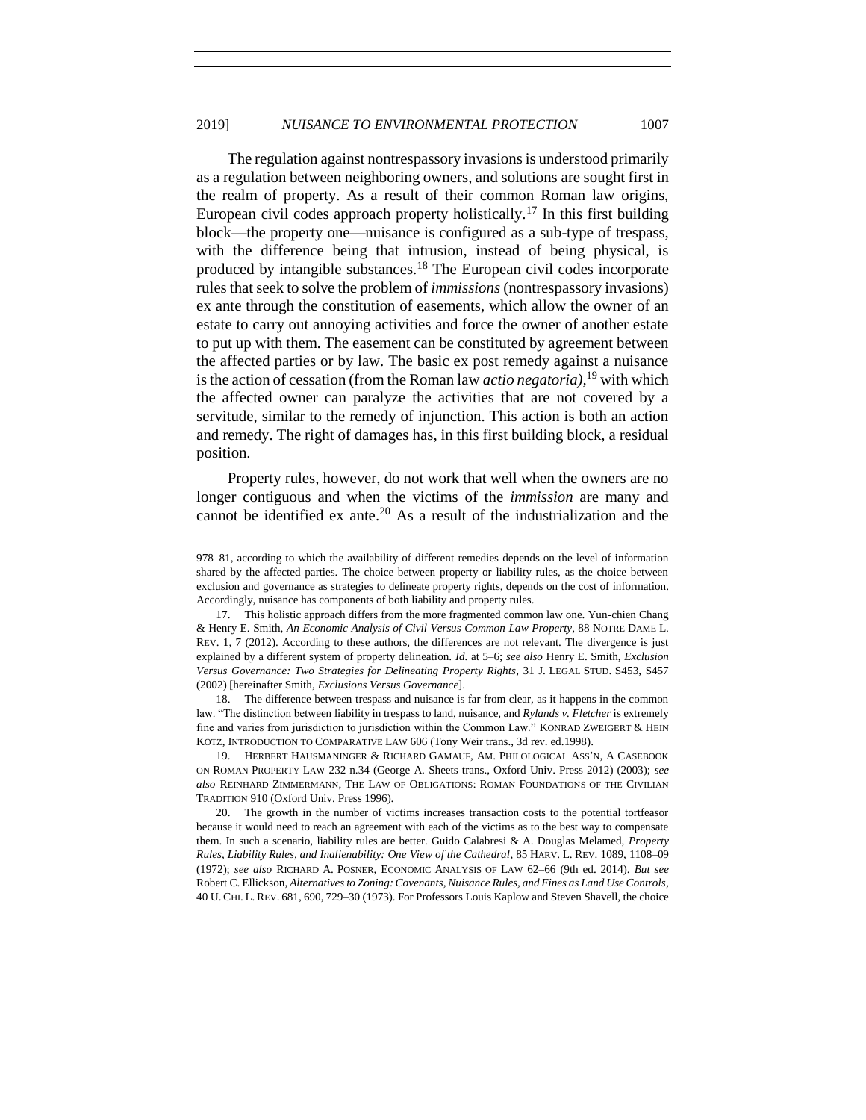The regulation against nontrespassory invasions is understood primarily as a regulation between neighboring owners, and solutions are sought first in the realm of property. As a result of their common Roman law origins, European civil codes approach property holistically.<sup>17</sup> In this first building block—the property one—nuisance is configured as a sub-type of trespass, with the difference being that intrusion, instead of being physical, is produced by intangible substances.<sup>18</sup> The European civil codes incorporate rules that seek to solve the problem of *immissions* (nontrespassory invasions) ex ante through the constitution of easements, which allow the owner of an estate to carry out annoying activities and force the owner of another estate to put up with them. The easement can be constituted by agreement between the affected parties or by law. The basic ex post remedy against a nuisance isthe action of cessation (from the Roman law *actio negatoria),*<sup>19</sup> with which the affected owner can paralyze the activities that are not covered by a servitude, similar to the remedy of injunction. This action is both an action and remedy. The right of damages has, in this first building block, a residual position.

Property rules, however, do not work that well when the owners are no longer contiguous and when the victims of the *immission* are many and cannot be identified ex ante.<sup>20</sup> As a result of the industrialization and the

<sup>978–81,</sup> according to which the availability of different remedies depends on the level of information shared by the affected parties. The choice between property or liability rules, as the choice between exclusion and governance as strategies to delineate property rights, depends on the cost of information. Accordingly, nuisance has components of both liability and property rules.

<sup>17.</sup> This holistic approach differs from the more fragmented common law one. Yun-chien Chang & Henry E. Smith, *An Economic Analysis of Civil Versus Common Law Property*, 88 NOTRE DAME L. REV. 1, 7 (2012). According to these authors, the differences are not relevant. The divergence is just explained by a different system of property delineation. *Id.* at 5–6; *see also* Henry E. Smith, *Exclusion Versus Governance: Two Strategies for Delineating Property Rights*, 31 J. LEGAL STUD. S453, S457 (2002) [hereinafter Smith, *Exclusions Versus Governance*].

<sup>18.</sup> The difference between trespass and nuisance is far from clear, as it happens in the common law. "The distinction between liability in trespass to land, nuisance, and *Rylands v. Fletcher* is extremely fine and varies from jurisdiction to jurisdiction within the Common Law." KONRAD ZWEIGERT & HEIN KÖTZ, INTRODUCTION TO COMPARATIVE LAW 606 (Tony Weir trans., 3d rev. ed.1998).

<sup>19.</sup> HERBERT HAUSMANINGER & RICHARD GAMAUF, AM. PHILOLOGICAL ASS'N, A CASEBOOK ON ROMAN PROPERTY LAW 232 n.34 (George A. Sheets trans., Oxford Univ. Press 2012) (2003); *see also* REINHARD ZIMMERMANN, THE LAW OF OBLIGATIONS: ROMAN FOUNDATIONS OF THE CIVILIAN TRADITION 910 (Oxford Univ. Press 1996).

<sup>20.</sup> The growth in the number of victims increases transaction costs to the potential tortfeasor because it would need to reach an agreement with each of the victims as to the best way to compensate them. In such a scenario, liability rules are better. Guido Calabresi & A. Douglas Melamed, *Property Rules, Liability Rules, and Inalienability: One View of the Cathedral*, 85 HARV. L. REV. 1089, 1108–09 (1972); *see also* RICHARD A. POSNER, ECONOMIC ANALYSIS OF LAW 62–66 (9th ed. 2014). *But see*  Robert C. Ellickson, *Alternatives to Zoning: Covenants, Nuisance Rules, and Fines as Land Use Controls*, 40 U. CHI. L. REV. 681, 690, 729–30 (1973). For Professors Louis Kaplow and Steven Shavell, the choice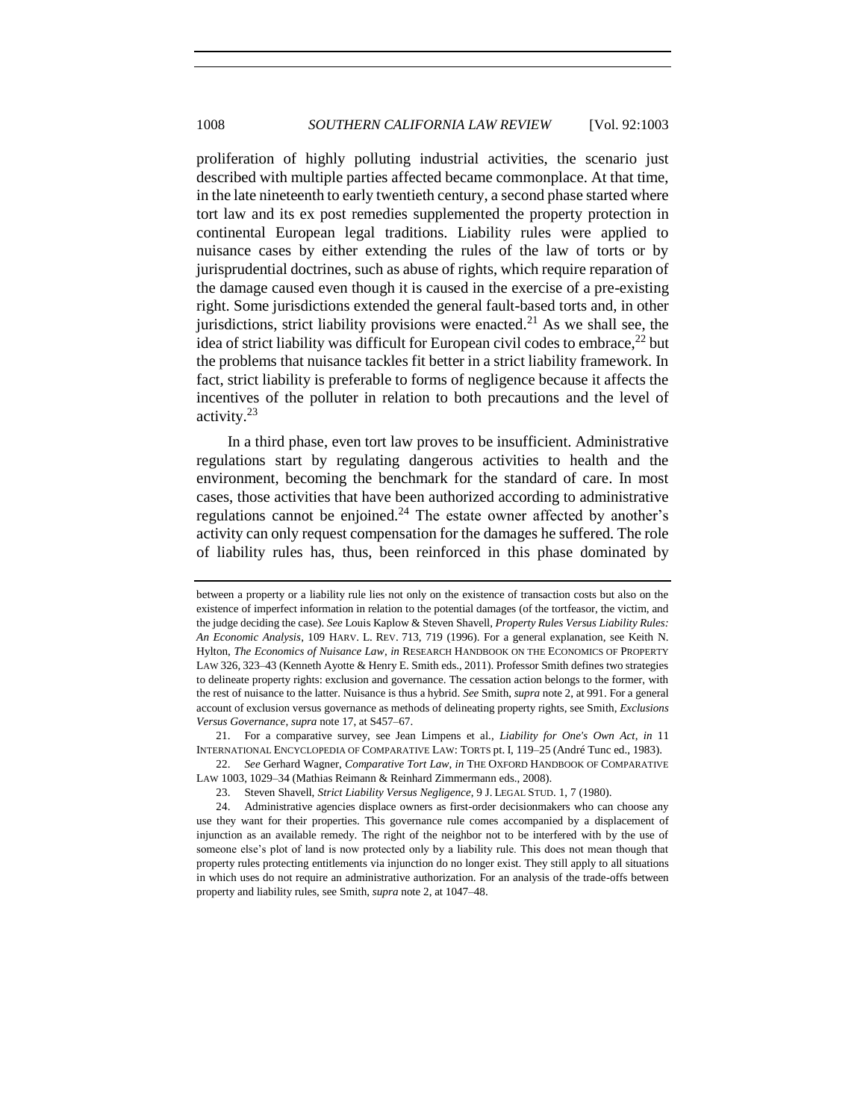proliferation of highly polluting industrial activities, the scenario just described with multiple parties affected became commonplace. At that time, in the late nineteenth to early twentieth century, a second phase started where tort law and its ex post remedies supplemented the property protection in continental European legal traditions. Liability rules were applied to nuisance cases by either extending the rules of the law of torts or by jurisprudential doctrines, such as abuse of rights, which require reparation of the damage caused even though it is caused in the exercise of a pre-existing right. Some jurisdictions extended the general fault-based torts and, in other jurisdictions, strict liability provisions were enacted.<sup>21</sup> As we shall see, the idea of strict liability was difficult for European civil codes to embrace,  $^{22}$  but the problems that nuisance tackles fit better in a strict liability framework. In fact, strict liability is preferable to forms of negligence because it affects the incentives of the polluter in relation to both precautions and the level of activity.<sup>23</sup>

In a third phase, even tort law proves to be insufficient. Administrative regulations start by regulating dangerous activities to health and the environment, becoming the benchmark for the standard of care. In most cases, those activities that have been authorized according to administrative regulations cannot be enjoined. $24$  The estate owner affected by another's activity can only request compensation for the damages he suffered. The role of liability rules has, thus, been reinforced in this phase dominated by

21. For a comparative survey, see Jean Limpens et al.*, Liability for One's Own Act*, *in* 11 INTERNATIONAL ENCYCLOPEDIA OF COMPARATIVE LAW: TORTS pt. I, 119–25 (André Tunc ed., 1983).

22. *See* Gerhard Wagner, *Comparative Tort Law*, *in* THE OXFORD HANDBOOK OF COMPARATIVE LAW 1003, 1029–34 (Mathias Reimann & Reinhard Zimmermann eds., 2008).

between a property or a liability rule lies not only on the existence of transaction costs but also on the existence of imperfect information in relation to the potential damages (of the tortfeasor, the victim, and the judge deciding the case). *See* Louis Kaplow & Steven Shavell, *Property Rules Versus Liability Rules: An Economic Analysis*, 109 HARV. L. REV. 713, 719 (1996). For a general explanation, see Keith N. Hylton, *The Economics of Nuisance Law*, *in* RESEARCH HANDBOOK ON THE ECONOMICS OF PROPERTY LAW 326, 323–43 (Kenneth Ayotte & Henry E. Smith eds., 2011). Professor Smith defines two strategies to delineate property rights: exclusion and governance. The cessation action belongs to the former, with the rest of nuisance to the latter. Nuisance is thus a hybrid. *See* Smith, *supra* not[e 2,](#page-0-0) at 991. For a general account of exclusion versus governance as methods of delineating property rights, see Smith, *Exclusions Versus Governance*, *supra* not[e 17,](#page-3-0) at S457–67.

<sup>23.</sup> Steven Shavell, *Strict Liability Versus Negligence*, 9 J. LEGAL STUD. 1, 7 (1980).

<sup>24.</sup> Administrative agencies displace owners as first-order decisionmakers who can choose any use they want for their properties. This governance rule comes accompanied by a displacement of injunction as an available remedy. The right of the neighbor not to be interfered with by the use of someone else's plot of land is now protected only by a liability rule. This does not mean though that property rules protecting entitlements via injunction do no longer exist. They still apply to all situations in which uses do not require an administrative authorization. For an analysis of the trade-offs between property and liability rules, see Smith, *supra* not[e 2,](#page-0-0) at 1047–48.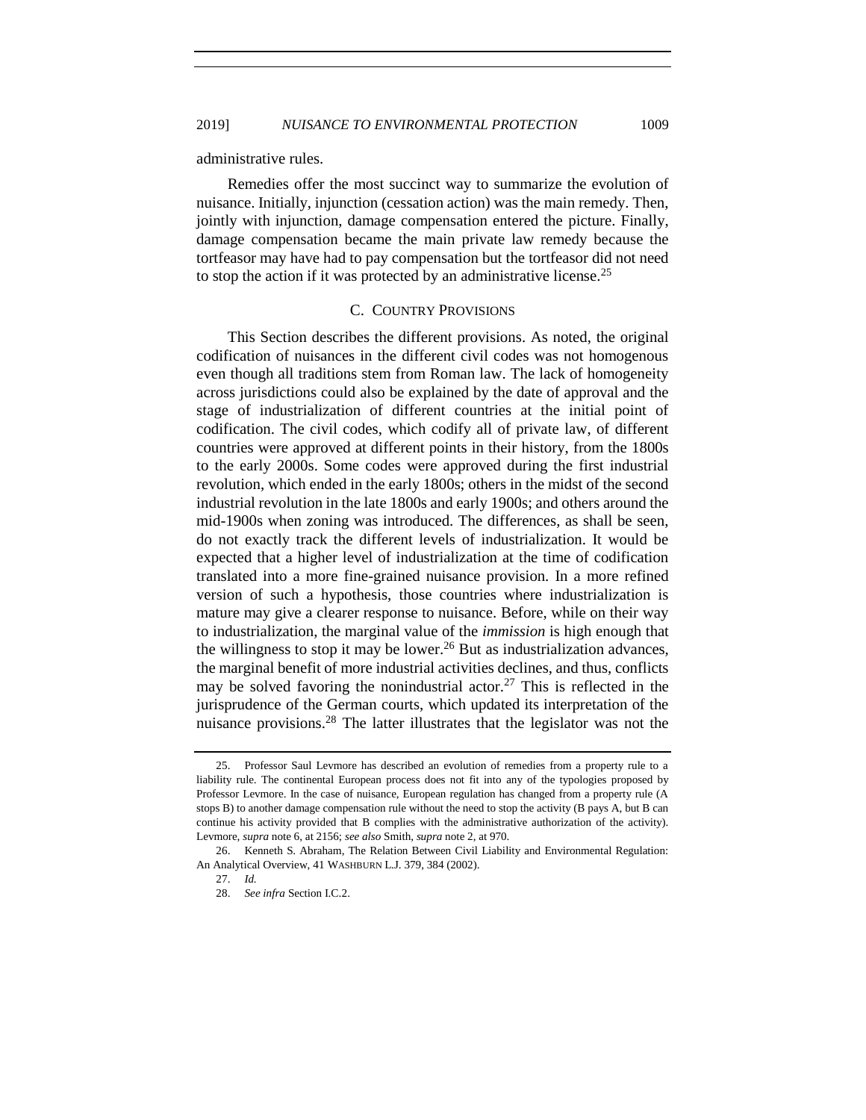<span id="page-6-0"></span>administrative rules.

Remedies offer the most succinct way to summarize the evolution of nuisance. Initially, injunction (cessation action) was the main remedy. Then, jointly with injunction, damage compensation entered the picture. Finally, damage compensation became the main private law remedy because the tortfeasor may have had to pay compensation but the tortfeasor did not need to stop the action if it was protected by an administrative license.<sup>25</sup>

#### C. COUNTRY PROVISIONS

This Section describes the different provisions. As noted, the original codification of nuisances in the different civil codes was not homogenous even though all traditions stem from Roman law. The lack of homogeneity across jurisdictions could also be explained by the date of approval and the stage of industrialization of different countries at the initial point of codification. The civil codes, which codify all of private law, of different countries were approved at different points in their history, from the 1800s to the early 2000s. Some codes were approved during the first industrial revolution, which ended in the early 1800s; others in the midst of the second industrial revolution in the late 1800s and early 1900s; and others around the mid-1900s when zoning was introduced. The differences, as shall be seen, do not exactly track the different levels of industrialization. It would be expected that a higher level of industrialization at the time of codification translated into a more fine-grained nuisance provision. In a more refined version of such a hypothesis, those countries where industrialization is mature may give a clearer response to nuisance. Before, while on their way to industrialization, the marginal value of the *immission* is high enough that the willingness to stop it may be lower.<sup>26</sup> But as industrialization advances, the marginal benefit of more industrial activities declines, and thus, conflicts may be solved favoring the nonindustrial actor.<sup>27</sup> This is reflected in the jurisprudence of the German courts, which updated its interpretation of the nuisance provisions.<sup>28</sup> The latter illustrates that the legislator was not the

<span id="page-6-1"></span><sup>25.</sup> Professor Saul Levmore has described an evolution of remedies from a property rule to a liability rule. The continental European process does not fit into any of the typologies proposed by Professor Levmore. In the case of nuisance, European regulation has changed from a property rule (A stops B) to another damage compensation rule without the need to stop the activity (B pays A, but B can continue his activity provided that B complies with the administrative authorization of the activity). Levmore, *supra* not[e 6,](#page-1-0) at 2156; *see also* Smith, *supra* not[e 2,](#page-0-0) at 970.

<sup>26.</sup> Kenneth S. Abraham, The Relation Between Civil Liability and Environmental Regulation: An Analytical Overview, 41 WASHBURN L.J. 379, 384 (2002).

<sup>27.</sup> *Id.*

<sup>28.</sup> *See infra* Section I.C.2.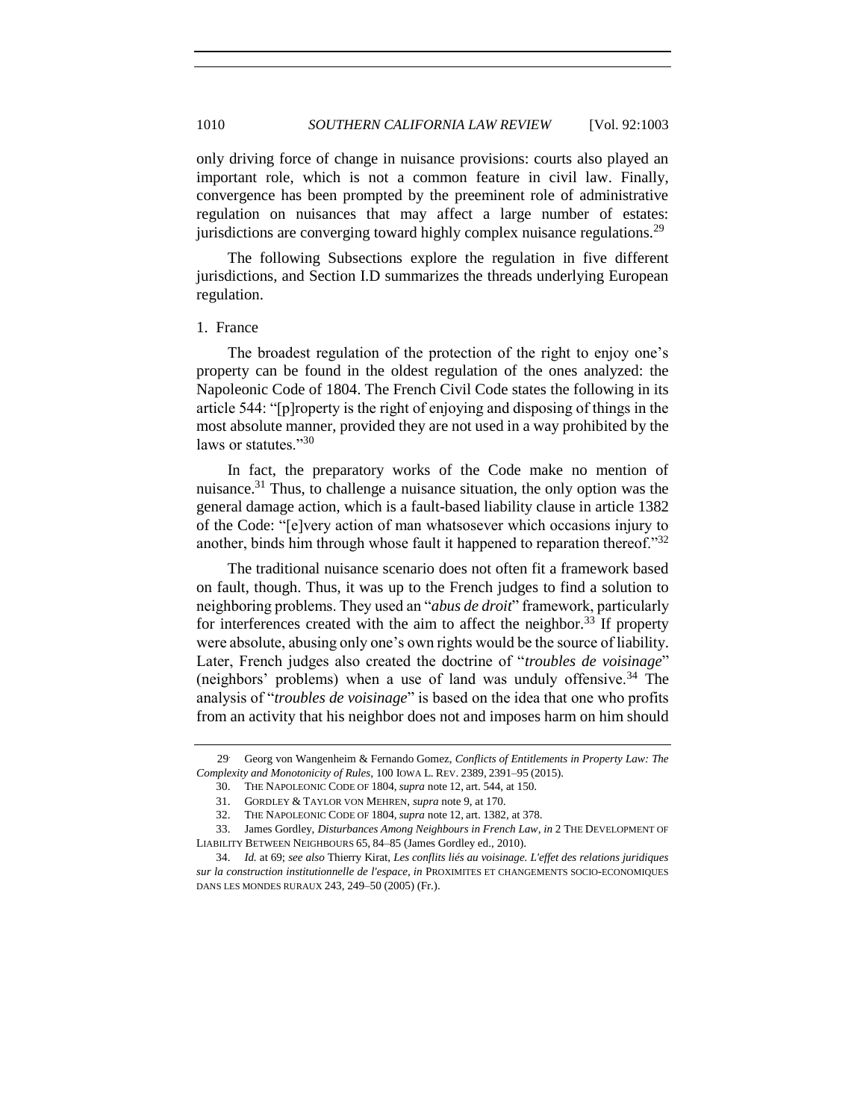only driving force of change in nuisance provisions: courts also played an important role, which is not a common feature in civil law. Finally, convergence has been prompted by the preeminent role of administrative regulation on nuisances that may affect a large number of estates: jurisdictions are converging toward highly complex nuisance regulations.<sup>29</sup>

The following Subsections explore the regulation in five different jurisdictions, and Section I.D summarizes the threads underlying European regulation.

#### 1. France

The broadest regulation of the protection of the right to enjoy one's property can be found in the oldest regulation of the ones analyzed: the Napoleonic Code of 1804. The French Civil Code states the following in its article 544: "[p]roperty is the right of enjoying and disposing of things in the most absolute manner, provided they are not used in a way prohibited by the laws or statutes."30

In fact, the preparatory works of the Code make no mention of nuisance.<sup>31</sup> Thus, to challenge a nuisance situation, the only option was the general damage action, which is a fault-based liability clause in article 1382 of the Code: "[e]very action of man whatsosever which occasions injury to another, binds him through whose fault it happened to reparation thereof." $32$ 

<span id="page-7-0"></span>The traditional nuisance scenario does not often fit a framework based on fault, though. Thus, it was up to the French judges to find a solution to neighboring problems. They used an "*abus de droit*" framework, particularly for interferences created with the aim to affect the neighbor.<sup>33</sup> If property were absolute, abusing only one's own rights would be the source of liability. Later, French judges also created the doctrine of "*troubles de voisinage*" (neighbors' problems) when a use of land was unduly offensive.<sup>34</sup> The analysis of "*troubles de voisinage*" is based on the idea that one who profits from an activity that his neighbor does not and imposes harm on him should

<sup>29</sup>. Georg von Wangenheim & Fernando Gomez, *Conflicts of Entitlements in Property Law: The Complexity and Monotonicity of Rules*, 100 IOWA L. REV. 2389, 2391–95 (2015).

<sup>30.</sup> THE NAPOLEONIC CODE OF 1804, *supra* note [12,](#page-3-1) art. 544, at 150.

<sup>31.</sup> GORDLEY & TAYLOR VON MEHREN, *supra* not[e 9,](#page-2-0) at 170.

<sup>32.</sup> THE NAPOLEONIC CODE OF 1804, *supra* note [12,](#page-3-1) art. 1382, at 378.

<sup>33.</sup> James Gordley, *Disturbances Among Neighbours in French Law*, *in* 2 THE DEVELOPMENT OF LIABILITY BETWEEN NEIGHBOURS 65, 84–85 (James Gordley ed., 2010).

<sup>34.</sup> *Id.* at 69; *see also* Thierry Kirat, *Les conflits liés au voisinage. L'effet des relations juridiques sur la construction institutionnelle de l'espace*, *in* PROXIMITES ET CHANGEMENTS SOCIO-ECONOMIQUES DANS LES MONDES RURAUX 243, 249–50 (2005) (Fr.).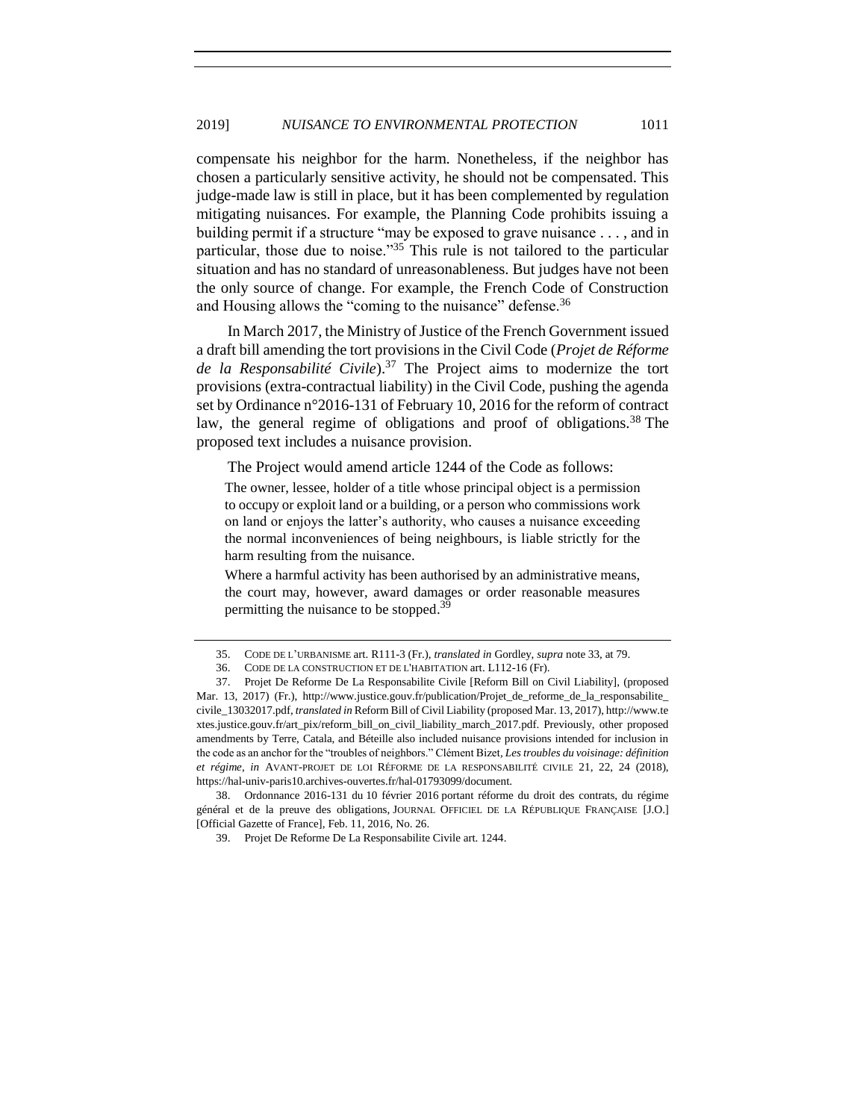compensate his neighbor for the harm. Nonetheless, if the neighbor has chosen a particularly sensitive activity, he should not be compensated. This judge-made law is still in place, but it has been complemented by regulation mitigating nuisances. For example, the Planning Code prohibits issuing a building permit if a structure "may be exposed to grave nuisance . . . , and in particular, those due to noise."<sup>35</sup> This rule is not tailored to the particular situation and has no standard of unreasonableness. But judges have not been the only source of change. For example, the French Code of Construction and Housing allows the "coming to the nuisance" defense.<sup>36</sup>

In March 2017, the Ministry of Justice of the French Government issued a draft bill amending the tort provisions in the Civil Code (*Projet de Réforme de la Responsabilité Civile*).<sup>37</sup> The Project aims to modernize the tort provisions (extra-contractual liability) in the Civil Code, pushing the agenda set by Ordinance n°2016-131 of February 10, 2016 for the reform of contract law, the general regime of obligations and proof of obligations.<sup>38</sup> The proposed text includes a nuisance provision.

The Project would amend article 1244 of the Code as follows:

The owner, lessee, holder of a title whose principal object is a permission to occupy or exploit land or a building, or a person who commissions work on land or enjoys the latter's authority, who causes a nuisance exceeding the normal inconveniences of being neighbours, is liable strictly for the harm resulting from the nuisance.

Where a harmful activity has been authorised by an administrative means, the court may, however, award damages or order reasonable measures permitting the nuisance to be stopped.<sup>39</sup>

38. Ordonnance 2016-131 du 10 février 2016 portant réforme du droit des contrats, du régime général et de la preuve des obligations, JOURNAL OFFICIEL DE LA RÉPUBLIQUE FRANÇAISE [J.O.] [Official Gazette of France], Feb. 11, 2016, No. 26.

<sup>35.</sup> CODE DE L'URBANISME art. R111-3 (Fr.), *translated in* Gordley, *supra* not[e 33,](#page-7-0) at 79.

<sup>36.</sup> CODE DE LA CONSTRUCTION ET DE L'HABITATION art. L112-16 (Fr).

<sup>37.</sup> Projet De Reforme De La Responsabilite Civile [Reform Bill on Civil Liability], (proposed Mar. 13, 2017) (Fr.), http://www.justice.gouv.fr/publication/Projet\_de\_reforme\_de\_la\_responsabilite\_ civile\_13032017.pdf, *translated in* Reform Bill of Civil Liability (proposed Mar. 13, 2017), http://www.te xtes.justice.gouv.fr/art\_pix/reform\_bill\_on\_civil\_liability\_march\_2017.pdf. Previously, other proposed amendments by Terre, Catala, and Béteille also included nuisance provisions intended for inclusion in the code as an anchor for the "troubles of neighbors." Clément Bizet*, Les troubles du voisinage: définition et régime, in* AVANT-PROJET DE LOI RÉFORME DE LA RESPONSABILITÉ CIVILE 21, 22, 24 (2018), https://hal-univ-paris10.archives-ouvertes.fr/hal-01793099/document.

<sup>39.</sup> Projet De Reforme De La Responsabilite Civile art. 1244.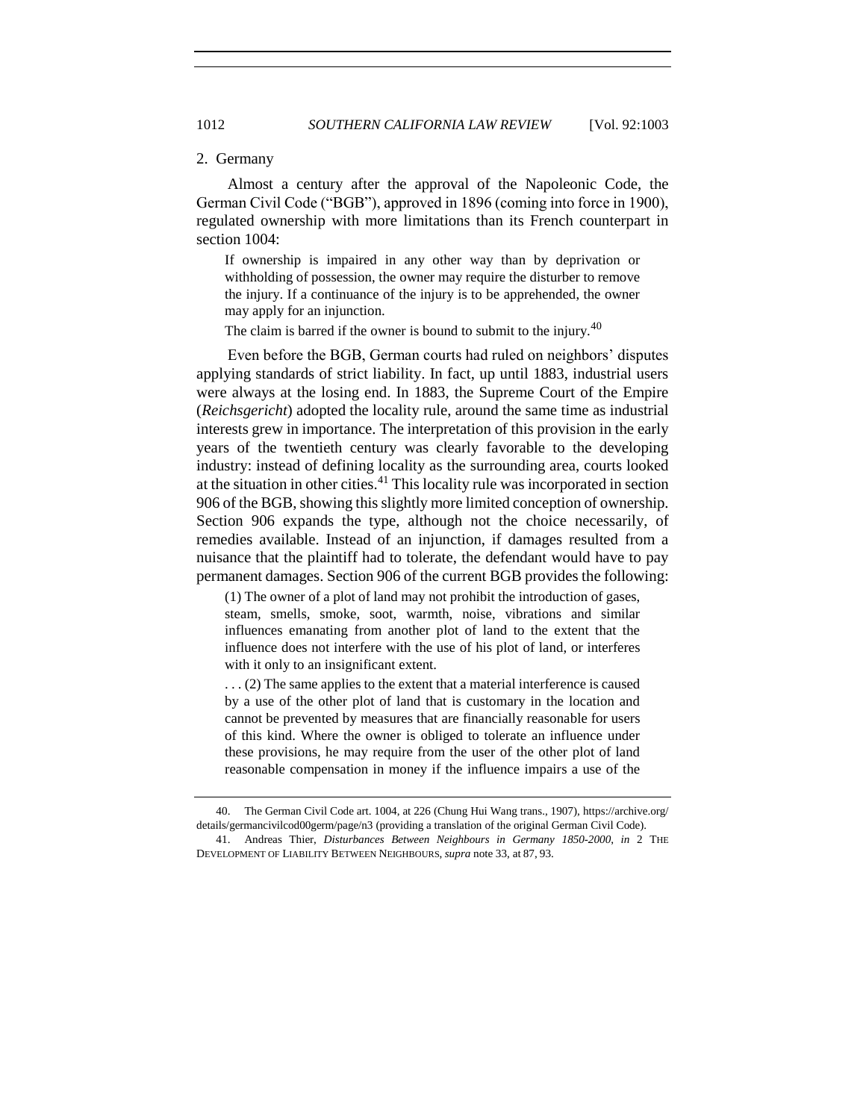#### 2. Germany

Almost a century after the approval of the Napoleonic Code, the German Civil Code ("BGB"), approved in 1896 (coming into force in 1900), regulated ownership with more limitations than its French counterpart in section 1004:

If ownership is impaired in any other way than by deprivation or withholding of possession, the owner may require the disturber to remove the injury. If a continuance of the injury is to be apprehended, the owner may apply for an injunction.

The claim is barred if the owner is bound to submit to the injury.<sup>40</sup>

Even before the BGB, German courts had ruled on neighbors' disputes applying standards of strict liability. In fact, up until 1883, industrial users were always at the losing end. In 1883, the Supreme Court of the Empire (*Reichsgericht*) adopted the locality rule, around the same time as industrial interests grew in importance. The interpretation of this provision in the early years of the twentieth century was clearly favorable to the developing industry: instead of defining locality as the surrounding area, courts looked at the situation in other cities.<sup>41</sup> This locality rule was incorporated in section 906 of the BGB, showing this slightly more limited conception of ownership. Section 906 expands the type, although not the choice necessarily, of remedies available. Instead of an injunction, if damages resulted from a nuisance that the plaintiff had to tolerate, the defendant would have to pay permanent damages. Section 906 of the current BGB provides the following:

<span id="page-9-0"></span>(1) The owner of a plot of land may not prohibit the introduction of gases, steam, smells, smoke, soot, warmth, noise, vibrations and similar influences emanating from another plot of land to the extent that the influence does not interfere with the use of his plot of land, or interferes with it only to an insignificant extent.

. . . (2) The same applies to the extent that a material interference is caused by a use of the other plot of land that is customary in the location and cannot be prevented by measures that are financially reasonable for users of this kind. Where the owner is obliged to tolerate an influence under these provisions, he may require from the user of the other plot of land reasonable compensation in money if the influence impairs a use of the

<sup>40.</sup> The German Civil Code art. 1004, at 226 (Chung Hui Wang trans., 1907), https://archive.org/ details/germancivilcod00germ/page/n3 (providing a translation of the original German Civil Code). 41. Andreas Thier, *Disturbances Between Neighbours in Germany 1850-2000*, *in* 2 THE

DEVELOPMENT OF LIABILITY BETWEEN NEIGHBOURS, *supra* not[e 33,](#page-7-0) at 87, 93.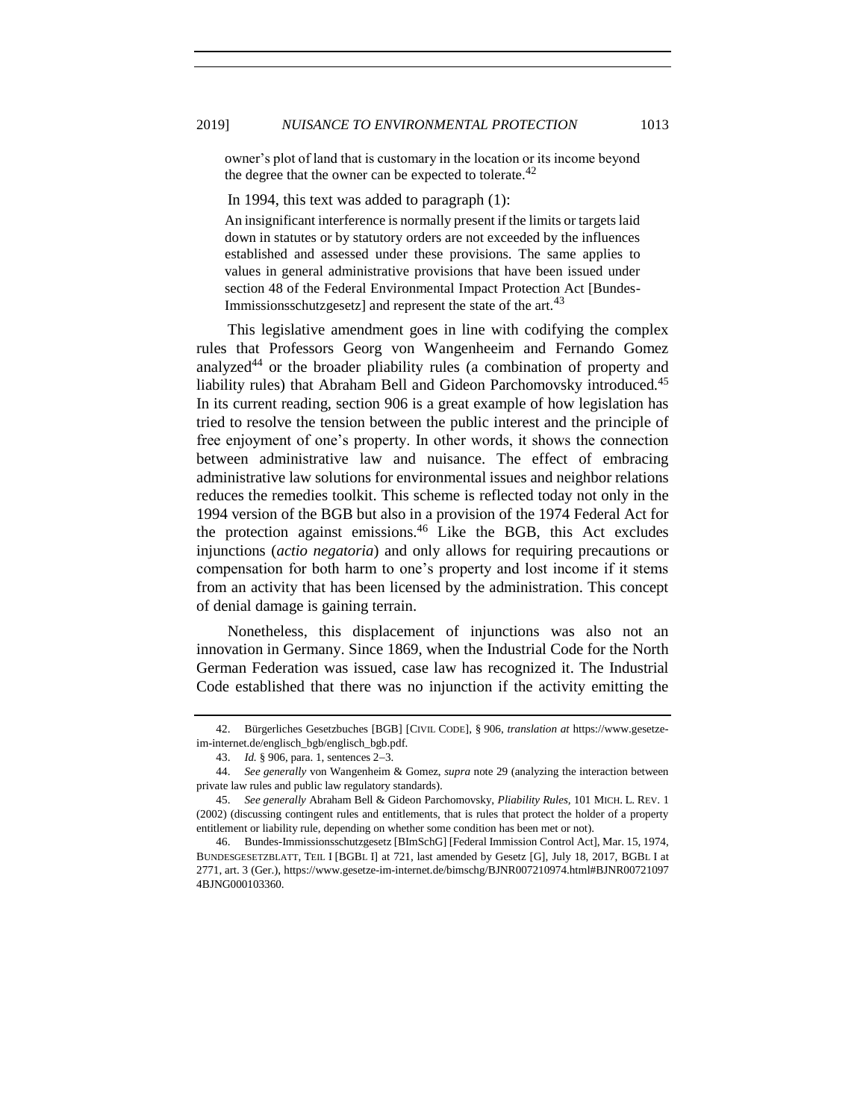owner's plot of land that is customary in the location or its income beyond the degree that the owner can be expected to tolerate.<sup>42</sup>

In 1994, this text was added to paragraph (1):

An insignificant interference is normally present if the limits or targets laid down in statutes or by statutory orders are not exceeded by the influences established and assessed under these provisions. The same applies to values in general administrative provisions that have been issued under section 48 of the Federal Environmental Impact Protection Act [Bundes-Immissionsschutzgesetz] and represent the state of the art.<sup>43</sup>

This legislative amendment goes in line with codifying the complex rules that Professors Georg von Wangenheeim and Fernando Gomez analyzed<sup>44</sup> or the broader pliability rules (a combination of property and liability rules) that Abraham Bell and Gideon Parchomovsky introduced.<sup>45</sup> In its current reading, section 906 is a great example of how legislation has tried to resolve the tension between the public interest and the principle of free enjoyment of one's property. In other words, it shows the connection between administrative law and nuisance. The effect of embracing administrative law solutions for environmental issues and neighbor relations reduces the remedies toolkit. This scheme is reflected today not only in the 1994 version of the BGB but also in a provision of the 1974 Federal Act for the protection against emissions.<sup>46</sup> Like the BGB, this Act excludes injunctions (*actio negatoria*) and only allows for requiring precautions or compensation for both harm to one's property and lost income if it stems from an activity that has been licensed by the administration. This concept of denial damage is gaining terrain.

Nonetheless, this displacement of injunctions was also not an innovation in Germany. Since 1869, when the Industrial Code for the North German Federation was issued, case law has recognized it. The Industrial Code established that there was no injunction if the activity emitting the

<sup>42.</sup> Bürgerliches Gesetzbuches [BGB] [CIVIL CODE], § 906, *translation at* https://www.gesetzeim-internet.de/englisch\_bgb/englisch\_bgb.pdf.

<sup>43.</sup> *Id.* § 906, para. 1, sentences 2−3.

<sup>44.</sup> *See generally* von Wangenheim & Gomez, *supra* note [29](#page-6-0) (analyzing the interaction between private law rules and public law regulatory standards).

<sup>45.</sup> *See generally* Abraham Bell & Gideon Parchomovsky, *Pliability Rules,* 101 MICH. L. REV. 1 (2002) (discussing contingent rules and entitlements, that is rules that protect the holder of a property entitlement or liability rule, depending on whether some condition has been met or not).

<sup>46.</sup> Bundes-Immissionsschutzgesetz [BImSchG] [Federal Immission Control Act], Mar. 15, 1974, BUNDESGESETZBLATT, TEIL I [BGBL I] at 721, last amended by Gesetz [G], July 18, 2017, BGBL I at 2771, art. 3 (Ger.), https://www.gesetze-im-internet.de/bimschg/BJNR007210974.html#BJNR00721097 4BJNG000103360.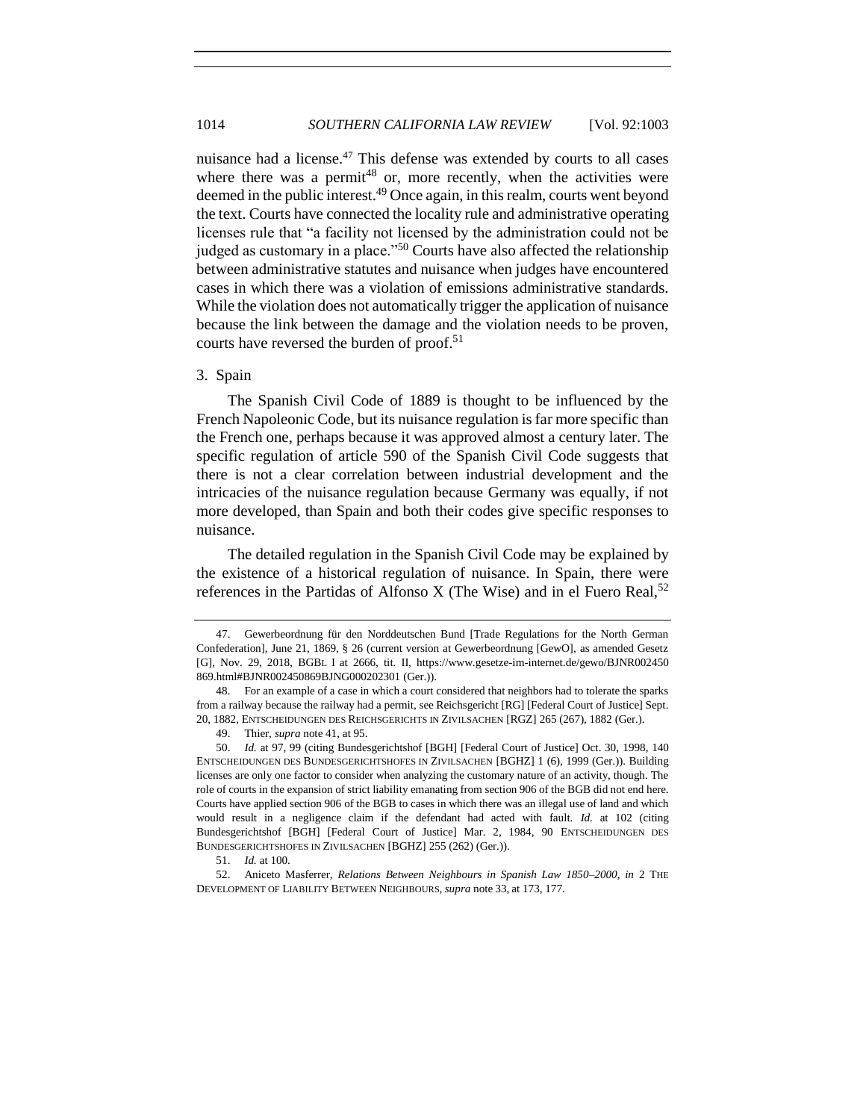nuisance had a license.<sup>47</sup> This defense was extended by courts to all cases where there was a permit<sup>48</sup> or, more recently, when the activities were deemed in the public interest.<sup>49</sup> Once again, in this realm, courts went beyond the text. Courts have connected the locality rule and administrative operating licenses rule that "a facility not licensed by the administration could not be judged as customary in a place."<sup>50</sup> Courts have also affected the relationship between administrative statutes and nuisance when judges have encountered cases in which there was a violation of emissions administrative standards. While the violation does not automatically trigger the application of nuisance because the link between the damage and the violation needs to be proven, courts have reversed the burden of proof.<sup>51</sup>

#### 3. Spain

The Spanish Civil Code of 1889 is thought to be influenced by the French Napoleonic Code, but its nuisance regulation is far more specific than the French one, perhaps because it was approved almost a century later. The specific regulation of article 590 of the Spanish Civil Code suggests that there is not a clear correlation between industrial development and the intricacies of the nuisance regulation because Germany was equally, if not more developed, than Spain and both their codes give specific responses to nuisance.

<span id="page-11-0"></span>The detailed regulation in the Spanish Civil Code may be explained by the existence of a historical regulation of nuisance. In Spain, there were references in the Partidas of Alfonso X (The Wise) and in el Fuero Real,  $52$ 

<sup>47.</sup> Gewerbeordnung für den Norddeutschen Bund [Trade Regulations for the North German Confederation], June 21, 1869, § 26 (current version at Gewerbeordnung [GewO], as amended Gesetz [G], Nov. 29, 2018, BGBL I at 2666, tit. II, https://www.gesetze-im-internet.de/gewo/BJNR002450 869.html#BJNR002450869BJNG000202301 (Ger.)).

<sup>48.</sup> For an example of a case in which a court considered that neighbors had to tolerate the sparks from a railway because the railway had a permit, see Reichsgericht [RG] [Federal Court of Justice] Sept. 20, 1882, ENTSCHEIDUNGEN DES REICHSGERICHTS IN ZIVILSACHEN [RGZ] 265 (267), 1882 (Ger.).

<sup>49.</sup> Thier, *supra* not[e 41,](#page-9-0) at 95.

<sup>50.</sup> *Id.* at 97, 99 (citing Bundesgerichtshof [BGH] [Federal Court of Justice] Oct. 30, 1998, 140 ENTSCHEIDUNGEN DES BUNDESGERICHTSHOFES IN ZIVILSACHEN [BGHZ] 1 (6), 1999 (Ger.)). Building licenses are only one factor to consider when analyzing the customary nature of an activity, though. The role of courts in the expansion of strict liability emanating from section 906 of the BGB did not end here. Courts have applied section 906 of the BGB to cases in which there was an illegal use of land and which would result in a negligence claim if the defendant had acted with fault. *Id.* at 102 (citing Bundesgerichtshof [BGH] [Federal Court of Justice] Mar. 2, 1984, 90 ENTSCHEIDUNGEN DES BUNDESGERICHTSHOFES IN ZIVILSACHEN [BGHZ] 255 (262) (Ger.)).

<sup>51.</sup> *Id.* at 100.

<sup>52.</sup> Aniceto Masferrer, *Relations Between Neighbours in Spanish Law 1850–2000*, *in* 2 THE DEVELOPMENT OF LIABILITY BETWEEN NEIGHBOURS, *supra* note [33,](#page-7-0) at 173, 177.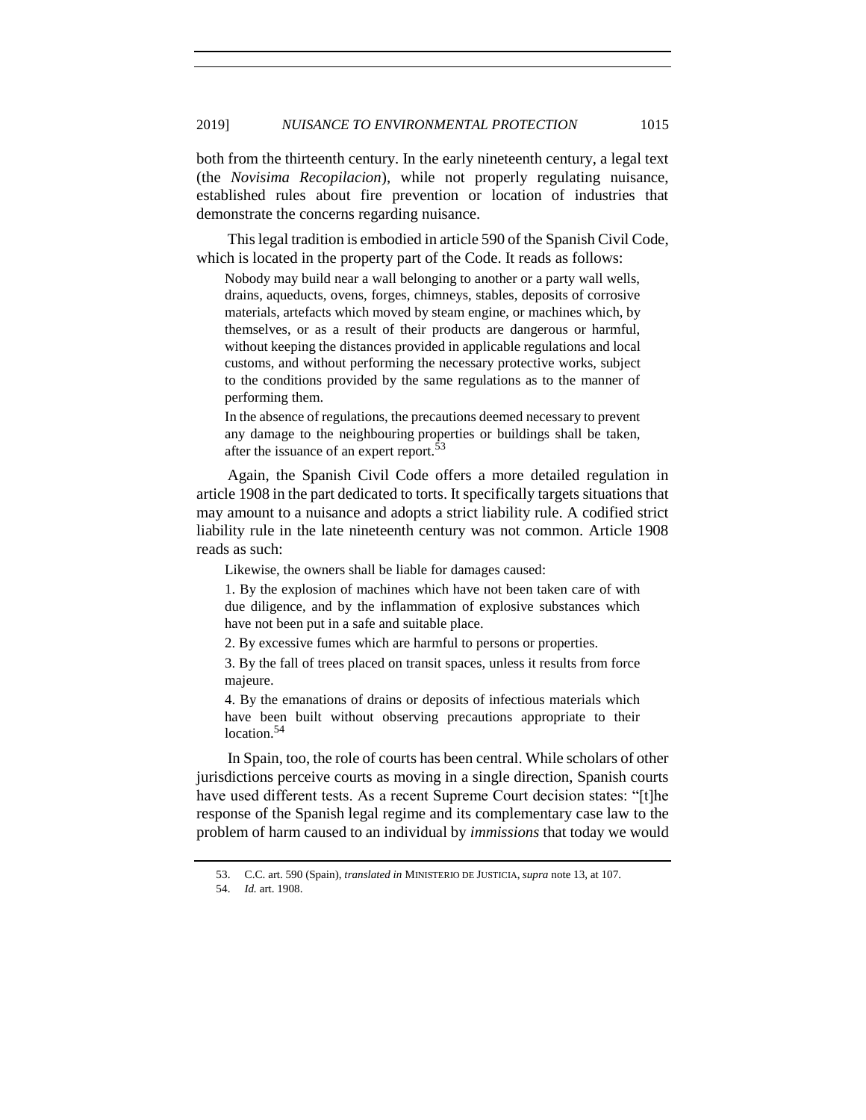both from the thirteenth century. In the early nineteenth century, a legal text (the *Novisima Recopilacion*), while not properly regulating nuisance, established rules about fire prevention or location of industries that demonstrate the concerns regarding nuisance.

This legal tradition is embodied in article 590 of the Spanish Civil Code, which is located in the property part of the Code. It reads as follows:

Nobody may build near a wall belonging to another or a party wall wells, drains, aqueducts, ovens, forges, chimneys, stables, deposits of corrosive materials, artefacts which moved by steam engine, or machines which, by themselves, or as a result of their products are dangerous or harmful, without keeping the distances provided in applicable regulations and local customs, and without performing the necessary protective works, subject to the conditions provided by the same regulations as to the manner of performing them.

In the absence of regulations, the precautions deemed necessary to prevent any damage to the neighbouring properties or buildings shall be taken, after the issuance of an expert report.<sup>53</sup>

Again, the Spanish Civil Code offers a more detailed regulation in article 1908 in the part dedicated to torts. It specifically targets situations that may amount to a nuisance and adopts a strict liability rule. A codified strict liability rule in the late nineteenth century was not common. Article 1908 reads as such:

Likewise, the owners shall be liable for damages caused:

1. By the explosion of machines which have not been taken care of with due diligence, and by the inflammation of explosive substances which have not been put in a safe and suitable place.

2. By excessive fumes which are harmful to persons or properties.

3. By the fall of trees placed on transit spaces, unless it results from force majeure.

4. By the emanations of drains or deposits of infectious materials which have been built without observing precautions appropriate to their location.<sup>54</sup>

In Spain, too, the role of courts has been central. While scholars of other jurisdictions perceive courts as moving in a single direction, Spanish courts have used different tests. As a recent Supreme Court decision states: "[t]he response of the Spanish legal regime and its complementary case law to the problem of harm caused to an individual by *immissions* that today we would

<sup>53.</sup> C.C. art. 590 (Spain), *translated in* MINISTERIO DE JUSTICIA, *supra* not[e 13,](#page-3-2) at 107.

<sup>54.</sup> *Id.* art. 1908.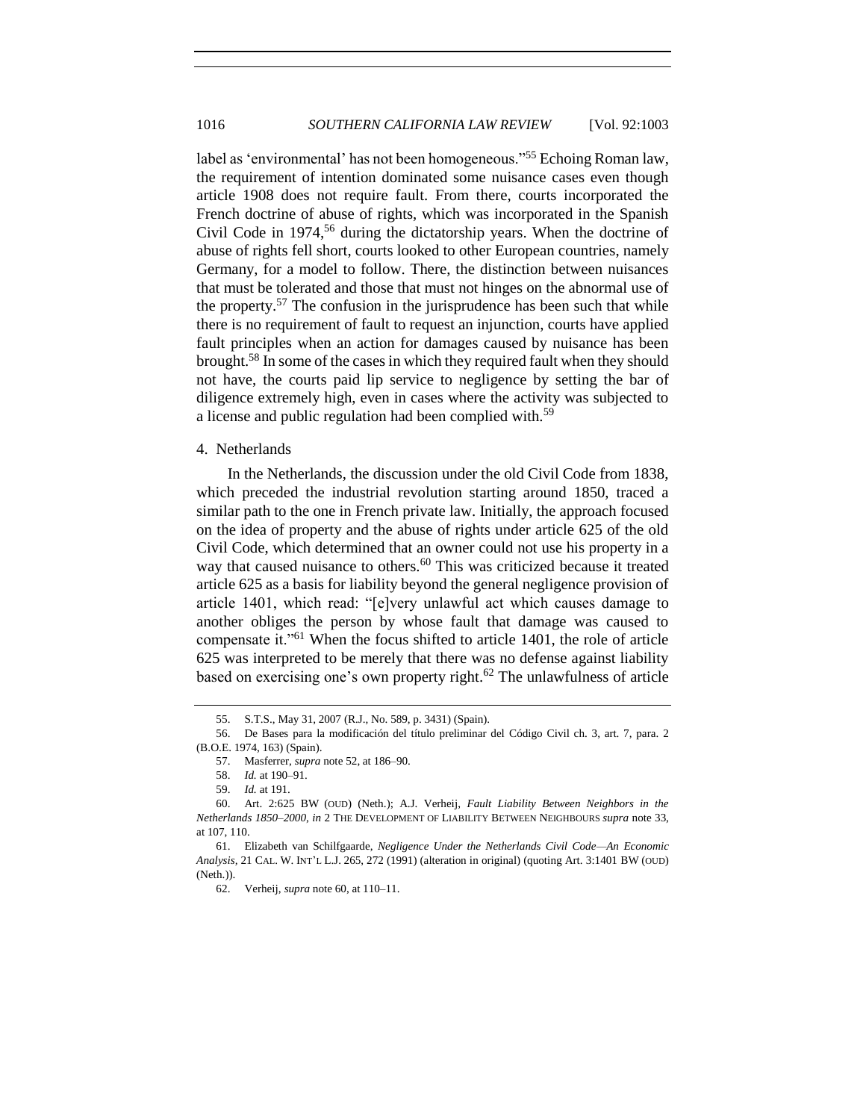label as 'environmental' has not been homogeneous."<sup>55</sup> Echoing Roman law, the requirement of intention dominated some nuisance cases even though article 1908 does not require fault. From there, courts incorporated the French doctrine of abuse of rights, which was incorporated in the Spanish Civil Code in  $1974$ ,<sup>56</sup> during the dictatorship years. When the doctrine of abuse of rights fell short, courts looked to other European countries, namely Germany, for a model to follow. There, the distinction between nuisances that must be tolerated and those that must not hinges on the abnormal use of the property.<sup>57</sup> The confusion in the jurisprudence has been such that while there is no requirement of fault to request an injunction, courts have applied fault principles when an action for damages caused by nuisance has been brought.<sup>58</sup> In some of the cases in which they required fault when they should not have, the courts paid lip service to negligence by setting the bar of diligence extremely high, even in cases where the activity was subjected to a license and public regulation had been complied with.<sup>59</sup>

#### 4. Netherlands

<span id="page-13-0"></span>In the Netherlands, the discussion under the old Civil Code from 1838, which preceded the industrial revolution starting around 1850, traced a similar path to the one in French private law. Initially, the approach focused on the idea of property and the abuse of rights under article 625 of the old Civil Code, which determined that an owner could not use his property in a way that caused nuisance to others.<sup>60</sup> This was criticized because it treated article 625 as a basis for liability beyond the general negligence provision of article 1401, which read: "[e]very unlawful act which causes damage to another obliges the person by whose fault that damage was caused to compensate it."<sup>61</sup> When the focus shifted to article 1401, the role of article 625 was interpreted to be merely that there was no defense against liability based on exercising one's own property right.<sup>62</sup> The unlawfulness of article

<sup>55.</sup> S.T.S., May 31, 2007 (R.J., No. 589, p. 3431) (Spain).

<sup>56.</sup> De Bases para la modificación del título preliminar del Código Civil ch. 3, art. 7, para. 2 (B.O.E. 1974, 163) (Spain).

<sup>57.</sup> Masferrer, *supra* not[e 52,](#page-11-0) at 186–90.

<sup>58.</sup> *Id.* at 190–91.

<sup>59.</sup> *Id.* at 191.

<sup>60.</sup> Art. 2:625 BW (OUD) (Neth.); A.J. Verheij, *Fault Liability Between Neighbors in the Netherlands 1850–2000*, *in* 2 THE DEVELOPMENT OF LIABILITY BETWEEN NEIGHBOURS *supra* note [33,](#page-7-0) at 107, 110.

<sup>61.</sup> Elizabeth van Schilfgaarde, *Negligence Under the Netherlands Civil Code—An Economic Analysis,* 21 CAL. W. INT'L L.J. 265, 272 (1991) (alteration in original) (quoting Art. 3:1401 BW (OUD) (Neth.)).

<sup>62.</sup> Verheij, *supra* not[e 60,](#page-13-0) at 110–11.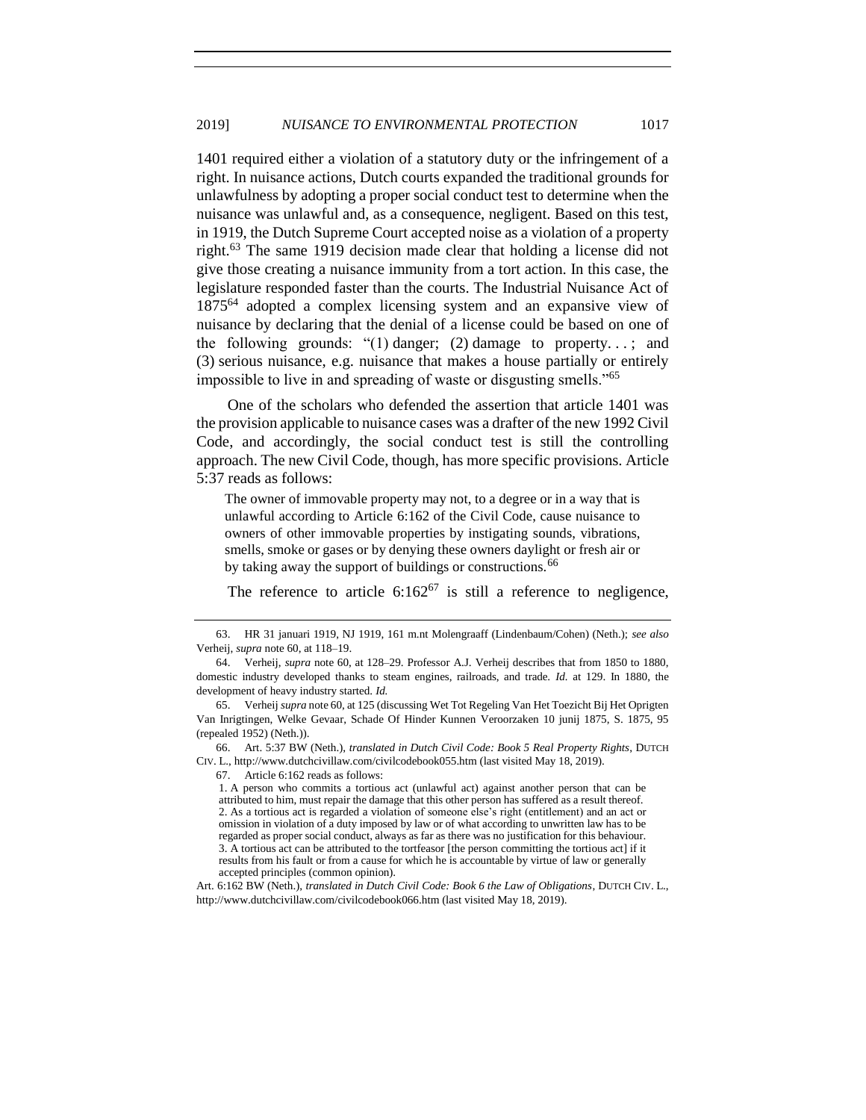1401 required either a violation of a statutory duty or the infringement of a right. In nuisance actions, Dutch courts expanded the traditional grounds for unlawfulness by adopting a proper social conduct test to determine when the nuisance was unlawful and, as a consequence, negligent. Based on this test, in 1919, the Dutch Supreme Court accepted noise as a violation of a property right.<sup>63</sup> The same 1919 decision made clear that holding a license did not give those creating a nuisance immunity from a tort action. In this case, the legislature responded faster than the courts. The Industrial Nuisance Act of 1875<sup>64</sup> adopted a complex licensing system and an expansive view of nuisance by declaring that the denial of a license could be based on one of the following grounds: " $(1)$  danger;  $(2)$  damage to property...; and (3) serious nuisance, e.g. nuisance that makes a house partially or entirely impossible to live in and spreading of waste or disgusting smells."<sup>65</sup>

One of the scholars who defended the assertion that article 1401 was the provision applicable to nuisance cases was a drafter of the new 1992 Civil Code, and accordingly, the social conduct test is still the controlling approach. The new Civil Code, though, has more specific provisions. Article 5:37 reads as follows:

The owner of immovable property may not, to a degree or in a way that is unlawful according to Article 6:162 of the Civil Code, cause nuisance to owners of other immovable properties by instigating sounds, vibrations, smells, smoke or gases or by denying these owners daylight or fresh air or by taking away the support of buildings or constructions.<sup>66</sup>

<span id="page-14-0"></span>The reference to article  $6:162^{67}$  is still a reference to negligence,

67. Article 6:162 reads as follows:

<sup>63.</sup> HR 31 januari 1919, NJ 1919, 161 m.nt Molengraaff (Lindenbaum/Cohen) (Neth.); *see also* Verheij, *supra* note 60, at 118–19.

<sup>64.</sup> Verheij, *supra* note 60, at 128–29. Professor A.J. Verheij describes that from 1850 to 1880, domestic industry developed thanks to steam engines, railroads, and trade. *Id.* at 129. In 1880, the development of heavy industry started. *Id.*

<sup>65.</sup> Verheij *supra* not[e 60,](#page-13-0) at 125 (discussing Wet Tot Regeling Van Het Toezicht Bij Het Oprigten Van Inrigtingen, Welke Gevaar, Schade Of Hinder Kunnen Veroorzaken 10 junij 1875, S. 1875, 95 (repealed 1952) (Neth.)).

<sup>66.</sup> Art. 5:37 BW (Neth.), *translated in Dutch Civil Code: Book 5 Real Property Rights*, DUTCH CIV. L., http://www.dutchcivillaw.com/civilcodebook055.htm (last visited May 18, 2019).

<sup>1.</sup> A person who commits a tortious act (unlawful act) against another person that can be attributed to him, must repair the damage that this other person has suffered as a result thereof. 2. As a tortious act is regarded a violation of someone else's right (entitlement) and an act or omission in violation of a duty imposed by law or of what according to unwritten law has to be regarded as proper social conduct, always as far as there was no justification for this behaviour. 3. A tortious act can be attributed to the tortfeasor [the person committing the tortious act] if it results from his fault or from a cause for which he is accountable by virtue of law or generally accepted principles (common opinion).

Art. 6:162 BW (Neth.), *translated in Dutch Civil Code: Book 6 the Law of Obligations*, DUTCH CIV. L., http://www.dutchcivillaw.com/civilcodebook066.htm (last visited May 18, 2019).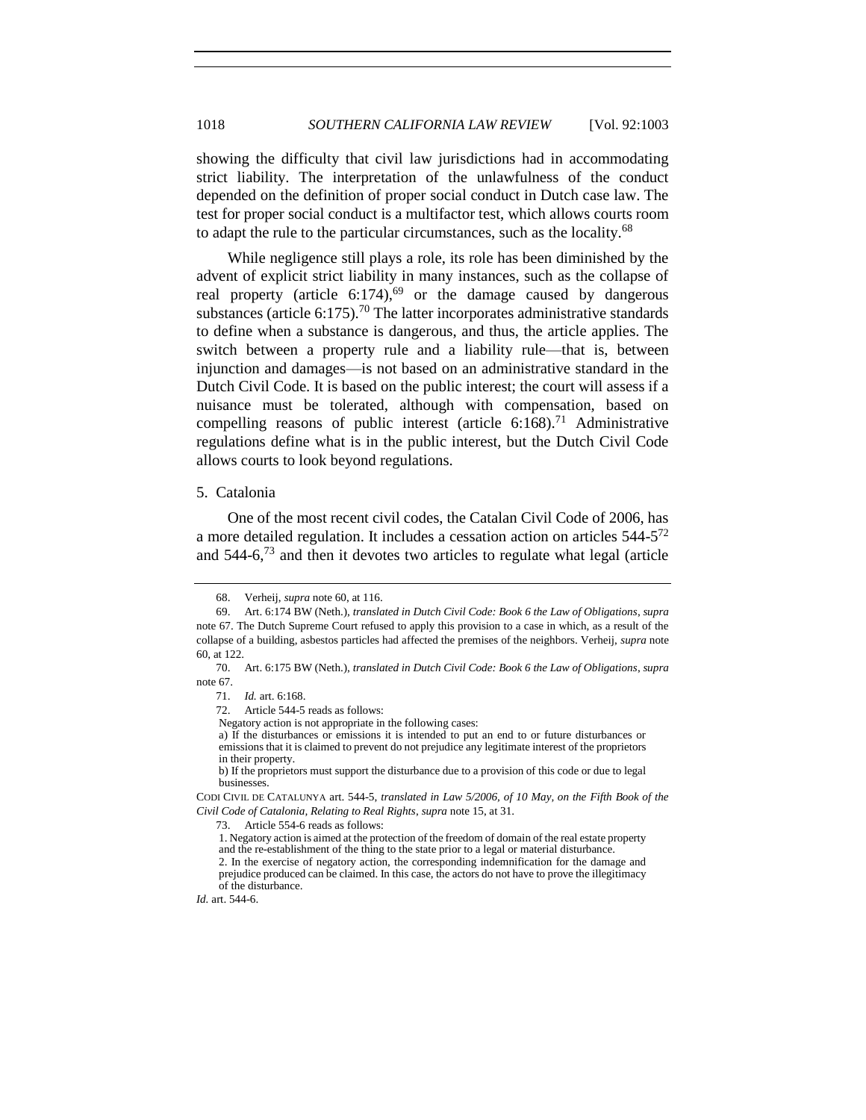showing the difficulty that civil law jurisdictions had in accommodating strict liability. The interpretation of the unlawfulness of the conduct depended on the definition of proper social conduct in Dutch case law. The test for proper social conduct is a multifactor test, which allows courts room to adapt the rule to the particular circumstances, such as the locality.<sup>68</sup>

While negligence still plays a role, its role has been diminished by the advent of explicit strict liability in many instances, such as the collapse of real property (article  $6:174$ ),<sup>69</sup> or the damage caused by dangerous substances (article 6:175).<sup>70</sup> The latter incorporates administrative standards to define when a substance is dangerous, and thus, the article applies. The switch between a property rule and a liability rule—that is, between injunction and damages—is not based on an administrative standard in the Dutch Civil Code. It is based on the public interest; the court will assess if a nuisance must be tolerated, although with compensation, based on compelling reasons of public interest (article  $6:168$ ).<sup>71</sup> Administrative regulations define what is in the public interest, but the Dutch Civil Code allows courts to look beyond regulations.

## 5. Catalonia

One of the most recent civil codes, the Catalan Civil Code of 2006, has a more detailed regulation. It includes a cessation action on articles 544-5<sup>72</sup> and  $544-6$ ,  $73$  and then it devotes two articles to regulate what legal (article

Negatory action is not appropriate in the following cases:

a) If the disturbances or emissions it is intended to put an end to or future disturbances or emissions that it is claimed to prevent do not prejudice any legitimate interest of the proprietors in their property.

b) If the proprietors must support the disturbance due to a provision of this code or due to legal businesses.

CODI CIVIL DE CATALUNYA art. 544-5, *translated in Law 5/2006, of 10 May, on the Fifth Book of the Civil Code of Catalonia, Relating to Real Rights*, *supra* note 15, at 31.

73. Article 554-6 reads as follows:

<sup>68.</sup> Verheij, *supra* note 60, at 116.

<sup>69.</sup> Art. 6:174 BW (Neth.), *translated in Dutch Civil Code: Book 6 the Law of Obligations*, *supra* note [67.](#page-14-0) The Dutch Supreme Court refused to apply this provision to a case in which, as a result of the collapse of a building, asbestos particles had affected the premises of the neighbors. Verheij, *supra* note [60,](#page-13-0) at 122.

<sup>70.</sup> Art. 6:175 BW (Neth.), *translated in Dutch Civil Code: Book 6 the Law of Obligations*, *supra* note [67.](#page-14-0)

<sup>71.</sup> *Id.* art. 6:168.

<sup>72.</sup> Article 544-5 reads as follows:

<sup>1.</sup> Negatory action is aimed at the protection of the freedom of domain of the real estate property and the re-establishment of the thing to the state prior to a legal or material disturbance. 2. In the exercise of negatory action, the corresponding indemnification for the damage and prejudice produced can be claimed. In this case, the actors do not have to prove the illegitimacy of the disturbance.

*Id.* art. 544-6.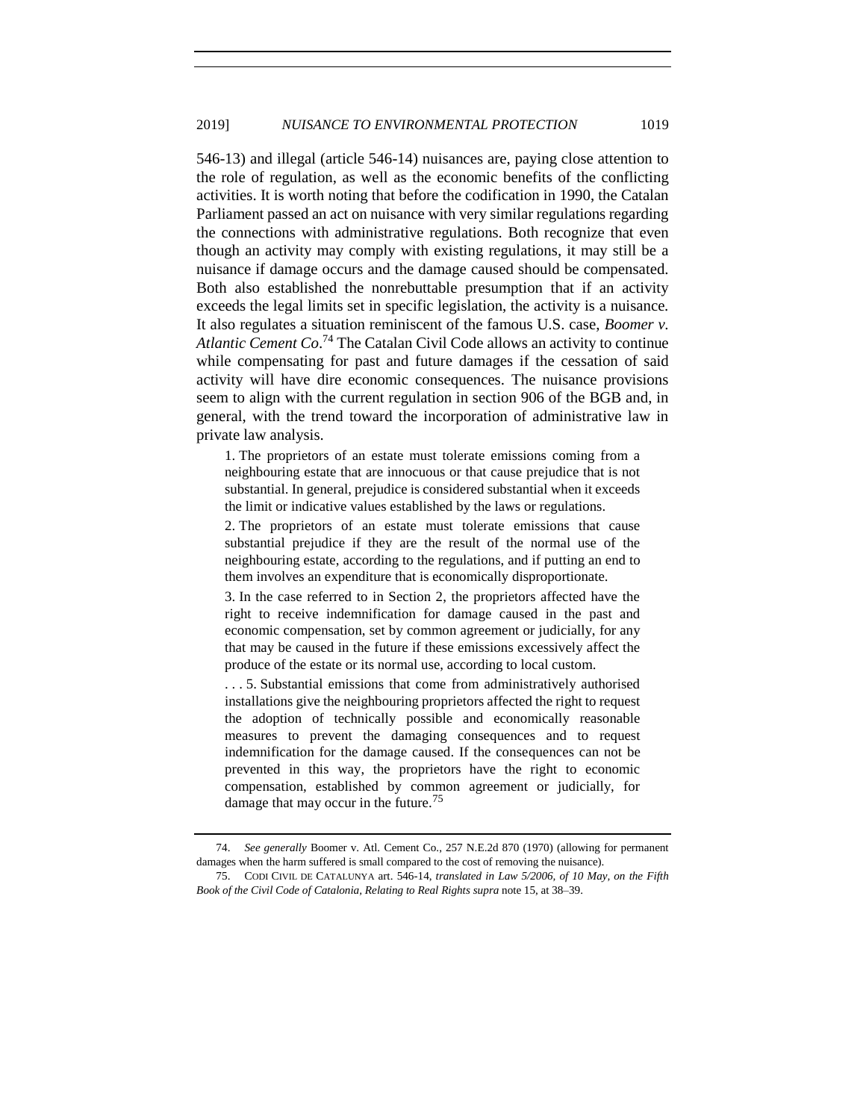546-13) and illegal (article 546-14) nuisances are, paying close attention to the role of regulation, as well as the economic benefits of the conflicting activities. It is worth noting that before the codification in 1990, the Catalan Parliament passed an act on nuisance with very similar regulations regarding the connections with administrative regulations. Both recognize that even though an activity may comply with existing regulations, it may still be a nuisance if damage occurs and the damage caused should be compensated. Both also established the nonrebuttable presumption that if an activity exceeds the legal limits set in specific legislation, the activity is a nuisance. It also regulates a situation reminiscent of the famous U.S. case, *Boomer v. Atlantic Cement Co*. <sup>74</sup> The Catalan Civil Code allows an activity to continue while compensating for past and future damages if the cessation of said activity will have dire economic consequences. The nuisance provisions seem to align with the current regulation in section 906 of the BGB and, in general, with the trend toward the incorporation of administrative law in private law analysis.

1. The proprietors of an estate must tolerate emissions coming from a neighbouring estate that are innocuous or that cause prejudice that is not substantial. In general, prejudice is considered substantial when it exceeds the limit or indicative values established by the laws or regulations.

2. The proprietors of an estate must tolerate emissions that cause substantial prejudice if they are the result of the normal use of the neighbouring estate, according to the regulations, and if putting an end to them involves an expenditure that is economically disproportionate.

3. In the case referred to in Section 2, the proprietors affected have the right to receive indemnification for damage caused in the past and economic compensation, set by common agreement or judicially, for any that may be caused in the future if these emissions excessively affect the produce of the estate or its normal use, according to local custom.

. . . 5. Substantial emissions that come from administratively authorised installations give the neighbouring proprietors affected the right to request the adoption of technically possible and economically reasonable measures to prevent the damaging consequences and to request indemnification for the damage caused. If the consequences can not be prevented in this way, the proprietors have the right to economic compensation, established by common agreement or judicially, for damage that may occur in the future.<sup>75</sup>

<sup>74.</sup> *See generally* Boomer v. Atl. Cement Co., 257 N.E.2d 870 (1970) (allowing for permanent damages when the harm suffered is small compared to the cost of removing the nuisance).

<sup>75.</sup> CODI CIVIL DE CATALUNYA art. 546-14, *translated in Law 5/2006, of 10 May, on the Fifth Book of the Civil Code of Catalonia, Relating to Real Rights supra* note 15, at 38–39.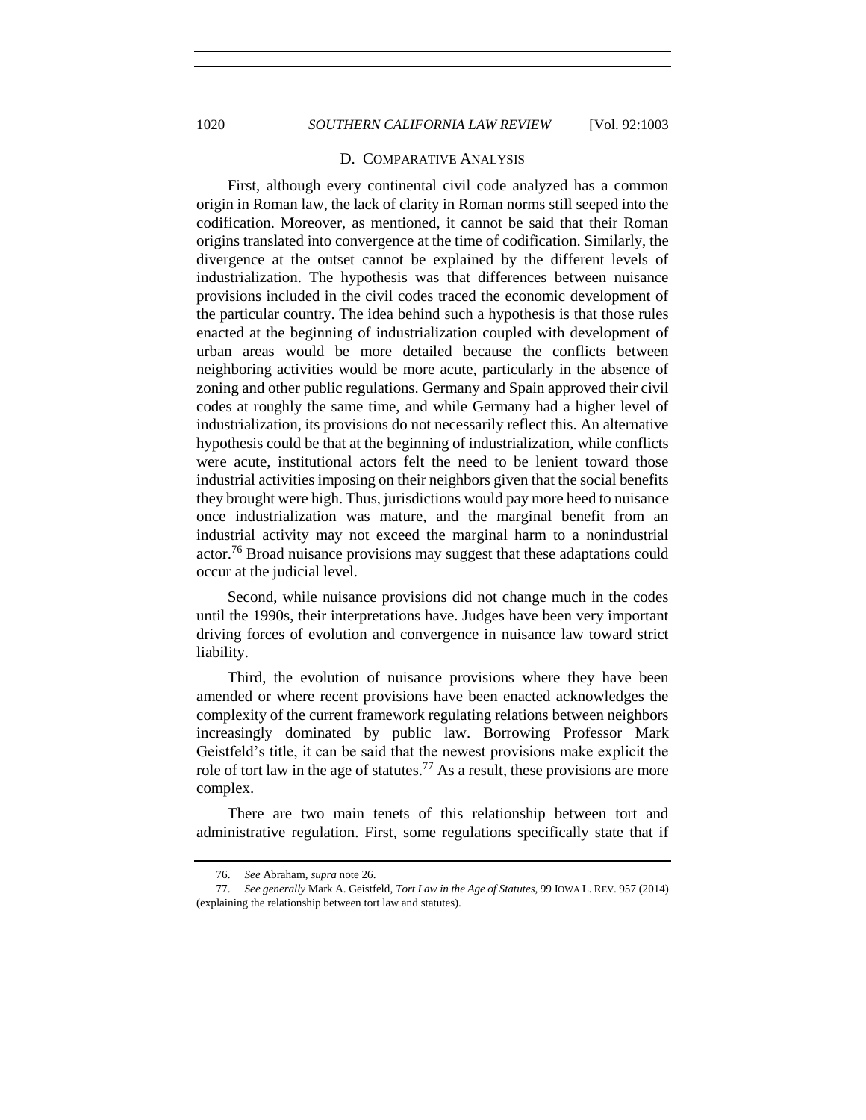#### D. COMPARATIVE ANALYSIS

First, although every continental civil code analyzed has a common origin in Roman law, the lack of clarity in Roman norms still seeped into the codification. Moreover, as mentioned, it cannot be said that their Roman origins translated into convergence at the time of codification. Similarly, the divergence at the outset cannot be explained by the different levels of industrialization. The hypothesis was that differences between nuisance provisions included in the civil codes traced the economic development of the particular country. The idea behind such a hypothesis is that those rules enacted at the beginning of industrialization coupled with development of urban areas would be more detailed because the conflicts between neighboring activities would be more acute, particularly in the absence of zoning and other public regulations. Germany and Spain approved their civil codes at roughly the same time, and while Germany had a higher level of industrialization, its provisions do not necessarily reflect this. An alternative hypothesis could be that at the beginning of industrialization, while conflicts were acute, institutional actors felt the need to be lenient toward those industrial activities imposing on their neighbors given that the social benefits they brought were high. Thus, jurisdictions would pay more heed to nuisance once industrialization was mature, and the marginal benefit from an industrial activity may not exceed the marginal harm to a nonindustrial actor.<sup>76</sup> Broad nuisance provisions may suggest that these adaptations could occur at the judicial level.

Second, while nuisance provisions did not change much in the codes until the 1990s, their interpretations have. Judges have been very important driving forces of evolution and convergence in nuisance law toward strict liability.

Third, the evolution of nuisance provisions where they have been amended or where recent provisions have been enacted acknowledges the complexity of the current framework regulating relations between neighbors increasingly dominated by public law. Borrowing Professor Mark Geistfeld's title, it can be said that the newest provisions make explicit the role of tort law in the age of statutes.<sup>77</sup> As a result, these provisions are more complex.

There are two main tenets of this relationship between tort and administrative regulation. First, some regulations specifically state that if

<sup>76.</sup> *See* Abraham, *supra* note [26.](#page-6-1)

<sup>77.</sup> *See generally* Mark A. Geistfeld, *Tort Law in the Age of Statutes,* 99 IOWA L. REV. 957 (2014) (explaining the relationship between tort law and statutes).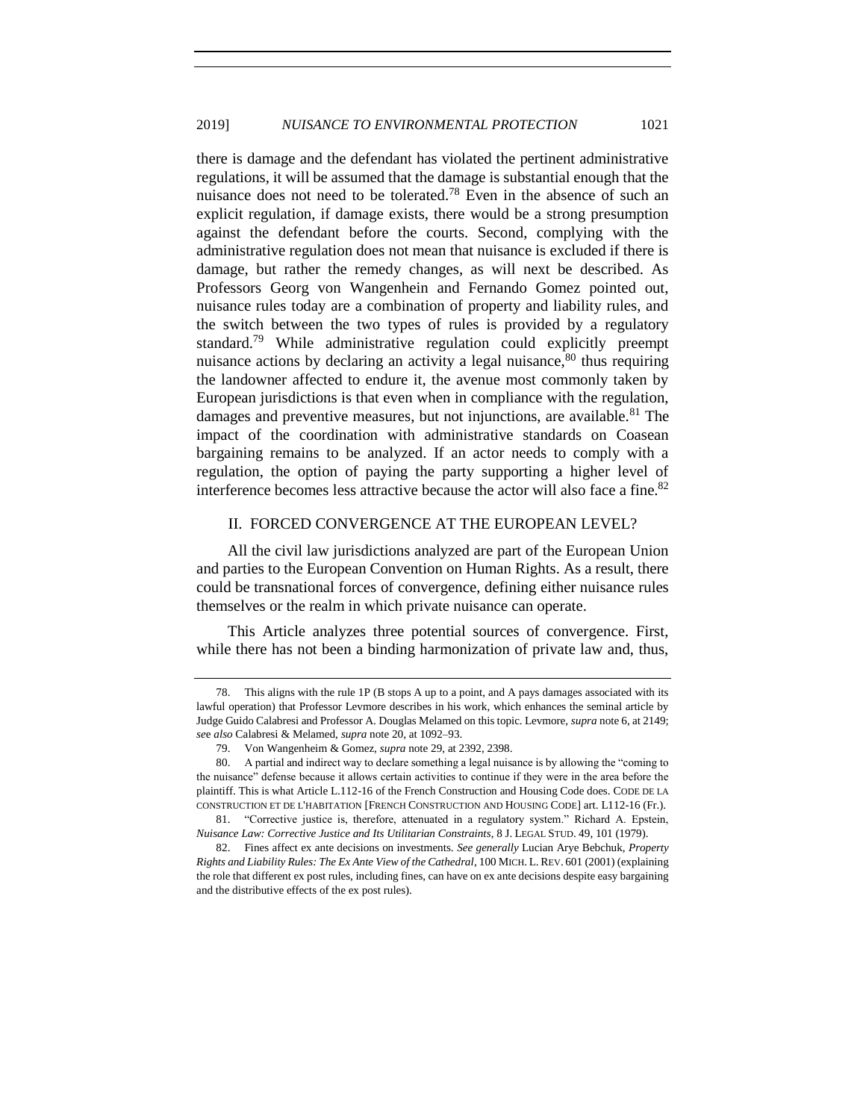there is damage and the defendant has violated the pertinent administrative regulations, it will be assumed that the damage is substantial enough that the nuisance does not need to be tolerated.<sup>78</sup> Even in the absence of such an explicit regulation, if damage exists, there would be a strong presumption against the defendant before the courts. Second, complying with the administrative regulation does not mean that nuisance is excluded if there is damage, but rather the remedy changes, as will next be described. As Professors Georg von Wangenhein and Fernando Gomez pointed out, nuisance rules today are a combination of property and liability rules, and the switch between the two types of rules is provided by a regulatory standard.<sup>79</sup> While administrative regulation could explicitly preempt nuisance actions by declaring an activity a legal nuisance,  $80$  thus requiring the landowner affected to endure it, the avenue most commonly taken by European jurisdictions is that even when in compliance with the regulation, damages and preventive measures, but not injunctions, are available.  $81$  The impact of the coordination with administrative standards on Coasean bargaining remains to be analyzed. If an actor needs to comply with a regulation, the option of paying the party supporting a higher level of interference becomes less attractive because the actor will also face a fine. $82$ 

# II. FORCED CONVERGENCE AT THE EUROPEAN LEVEL?

All the civil law jurisdictions analyzed are part of the European Union and parties to the European Convention on Human Rights. As a result, there could be transnational forces of convergence, defining either nuisance rules themselves or the realm in which private nuisance can operate.

This Article analyzes three potential sources of convergence. First, while there has not been a binding harmonization of private law and, thus,

<sup>78.</sup> This aligns with the rule 1P (B stops A up to a point, and A pays damages associated with its lawful operation) that Professor Levmore describes in his work, which enhances the seminal article by Judge Guido Calabresi and Professor A. Douglas Melamed on this topic. Levmore, *supra* not[e 6,](#page-1-0) at 2149; *se*e *also* Calabresi & Melamed, *supra* not[e 20,](#page-3-0) at 1092–93.

<sup>79.</sup> Von Wangenheim & Gomez, *supra* not[e 29,](#page-6-0) at 2392, 2398.

<sup>80.</sup> A partial and indirect way to declare something a legal nuisance is by allowing the "coming to the nuisance" defense because it allows certain activities to continue if they were in the area before the plaintiff. This is what Article L.112-16 of the French Construction and Housing Code does. CODE DE LA CONSTRUCTION ET DE L'HABITATION [FRENCH CONSTRUCTION AND HOUSING CODE] art. L112-16 (Fr.).

<sup>81.</sup> "Corrective justice is, therefore, attenuated in a regulatory system." Richard A. Epstein, *Nuisance Law: Corrective Justice and Its Utilitarian Constraints*, 8 J. LEGAL STUD. 49, 101 (1979).

<sup>82.</sup> Fines affect ex ante decisions on investments. *See generally* Lucian Arye Bebchuk, *Property Rights and Liability Rules: The Ex Ante View of the Cathedral*, 100 MICH. L. REV. 601 (2001) (explaining the role that different ex post rules, including fines, can have on ex ante decisions despite easy bargaining and the distributive effects of the ex post rules).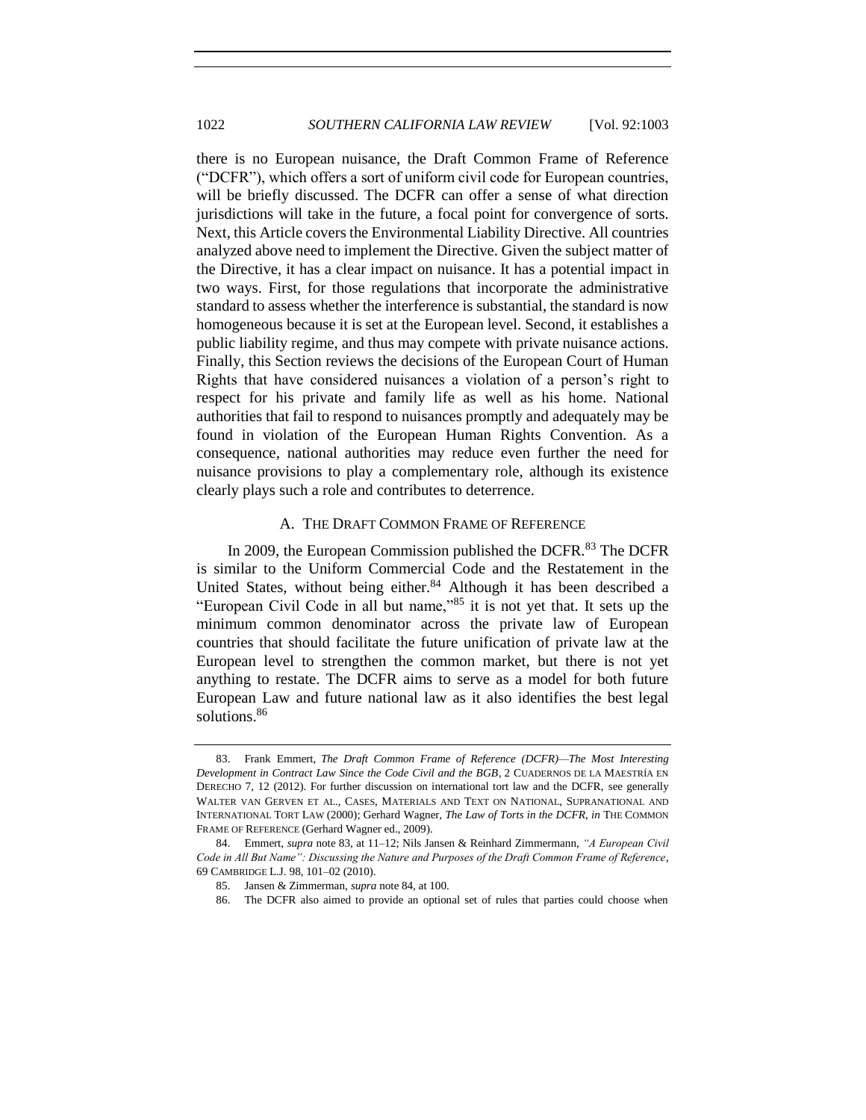there is no European nuisance, the Draft Common Frame of Reference ("DCFR"), which offers a sort of uniform civil code for European countries, will be briefly discussed. The DCFR can offer a sense of what direction jurisdictions will take in the future, a focal point for convergence of sorts. Next, this Article covers the Environmental Liability Directive. All countries analyzed above need to implement the Directive. Given the subject matter of the Directive, it has a clear impact on nuisance. It has a potential impact in two ways. First, for those regulations that incorporate the administrative standard to assess whether the interference is substantial, the standard is now homogeneous because it is set at the European level. Second, it establishes a public liability regime, and thus may compete with private nuisance actions. Finally, this Section reviews the decisions of the European Court of Human Rights that have considered nuisances a violation of a person's right to respect for his private and family life as well as his home. National authorities that fail to respond to nuisances promptly and adequately may be found in violation of the European Human Rights Convention. As a consequence, national authorities may reduce even further the need for nuisance provisions to play a complementary role, although its existence clearly plays such a role and contributes to deterrence.

## <span id="page-19-0"></span>A. THE DRAFT COMMON FRAME OF REFERENCE

In 2009, the European Commission published the DCFR.<sup>83</sup> The DCFR is similar to the Uniform Commercial Code and the Restatement in the United States, without being either.<sup>84</sup> Although it has been described a "European Civil Code in all but name,"<sup>85</sup> it is not yet that. It sets up the minimum common denominator across the private law of European countries that should facilitate the future unification of private law at the European level to strengthen the common market, but there is not yet anything to restate. The DCFR aims to serve as a model for both future European Law and future national law as it also identifies the best legal solutions.<sup>86</sup>

<sup>83.</sup> Frank Emmert, *The Draft Common Frame of Reference (DCFR)—The Most Interesting Development in Contract Law Since the Code Civil and the BGB*, 2 CUADERNOS DE LA MAESTRÍA EN DERECHO 7, 12 (2012). For further discussion on international tort law and the DCFR, see generally WALTER VAN GERVEN ET AL., CASES, MATERIALS AND TEXT ON NATIONAL, SUPRANATIONAL AND INTERNATIONAL TORT LAW (2000); Gerhard Wagner, *The Law of Torts in the DCFR*, *in* THE COMMON FRAME OF REFERENCE (Gerhard Wagner ed., 2009).

<sup>84.</sup> Emmert, *supra* not[e 83,](#page-19-0) at 11–12; Nils Jansen & Reinhard Zimmermann, *"A European Civil Code in All But Name": Discussing the Nature and Purposes of the Draft Common Frame of Reference*, 69 CAMBRIDGE L.J. 98, 101–02 (2010).

<sup>85.</sup> Jansen & Zimmerman, *supra* note 84, at 100.

<sup>86.</sup> The DCFR also aimed to provide an optional set of rules that parties could choose when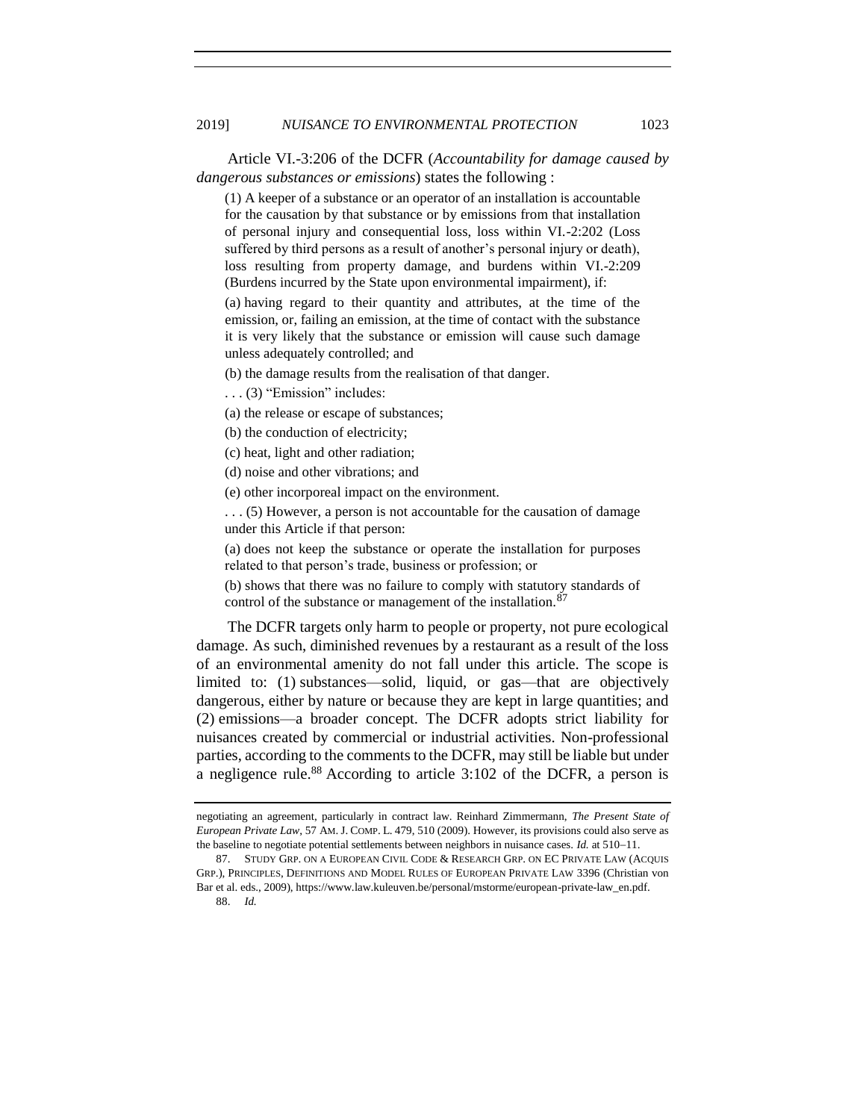Article VI.-3:206 of the DCFR (*Accountability for damage caused by dangerous substances or emissions*) states the following :

(1) A keeper of a substance or an operator of an installation is accountable for the causation by that substance or by emissions from that installation of personal injury and consequential loss, loss within VI.-2:202 (Loss suffered by third persons as a result of another's personal injury or death), loss resulting from property damage, and burdens within VI.-2:209 (Burdens incurred by the State upon environmental impairment), if:

(a) having regard to their quantity and attributes, at the time of the emission, or, failing an emission, at the time of contact with the substance it is very likely that the substance or emission will cause such damage unless adequately controlled; and

(b) the damage results from the realisation of that danger.

. . . (3) "Emission" includes:

(a) the release or escape of substances;

(b) the conduction of electricity;

(c) heat, light and other radiation;

(d) noise and other vibrations; and

(e) other incorporeal impact on the environment.

. . . (5) However, a person is not accountable for the causation of damage under this Article if that person:

(a) does not keep the substance or operate the installation for purposes related to that person's trade, business or profession; or

(b) shows that there was no failure to comply with statutory standards of control of the substance or management of the installation.<sup>87</sup>

The DCFR targets only harm to people or property, not pure ecological damage. As such, diminished revenues by a restaurant as a result of the loss of an environmental amenity do not fall under this article. The scope is limited to: (1) substances—solid, liquid, or gas—that are objectively dangerous, either by nature or because they are kept in large quantities; and (2) emissions—a broader concept. The DCFR adopts strict liability for nuisances created by commercial or industrial activities. Non-professional parties, according to the comments to the DCFR, may still be liable but under a negligence rule.<sup>88</sup> According to article 3:102 of the DCFR, a person is

88. *Id.*

negotiating an agreement, particularly in contract law. Reinhard Zimmermann, *The Present State of European Private Law*, 57 AM. J. COMP. L. 479, 510 (2009). However, its provisions could also serve as the baseline to negotiate potential settlements between neighbors in nuisance cases. *Id.* at 510−11.

<sup>87.</sup> STUDY GRP. ON A EUROPEAN CIVIL CODE & RESEARCH GRP. ON EC PRIVATE LAW (ACQUIS GRP.), PRINCIPLES, DEFINITIONS AND MODEL RULES OF EUROPEAN PRIVATE LAW 3396 (Christian von Bar et al. eds., 2009), https://www.law.kuleuven.be/personal/mstorme/european-private-law\_en.pdf.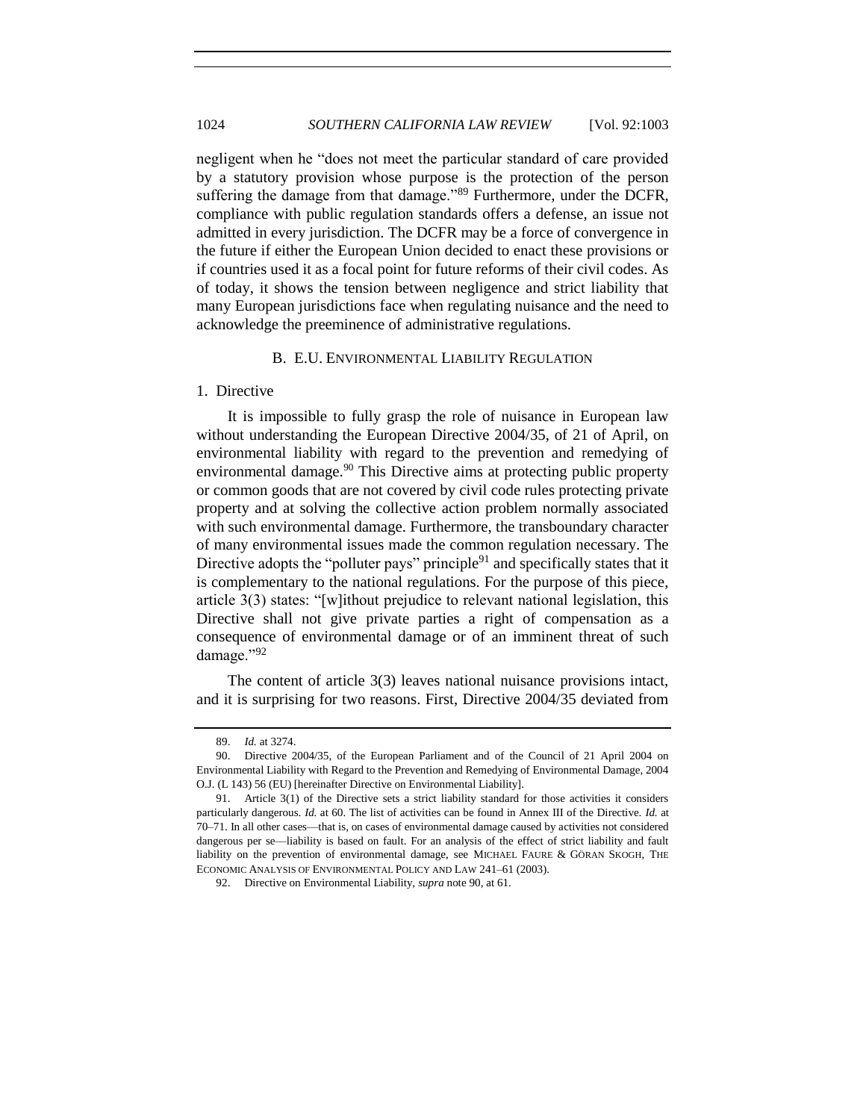<span id="page-21-1"></span>negligent when he "does not meet the particular standard of care provided by a statutory provision whose purpose is the protection of the person suffering the damage from that damage."<sup>89</sup> Furthermore, under the DCFR, compliance with public regulation standards offers a defense, an issue not admitted in every jurisdiction. The DCFR may be a force of convergence in the future if either the European Union decided to enact these provisions or if countries used it as a focal point for future reforms of their civil codes. As of today, it shows the tension between negligence and strict liability that many European jurisdictions face when regulating nuisance and the need to acknowledge the preeminence of administrative regulations.

## <span id="page-21-0"></span>B. E.U. ENVIRONMENTAL LIABILITY REGULATION

#### 1. Directive

It is impossible to fully grasp the role of nuisance in European law without understanding the European Directive 2004/35, of 21 of April, on environmental liability with regard to the prevention and remedying of environmental damage.<sup>90</sup> This Directive aims at protecting public property or common goods that are not covered by civil code rules protecting private property and at solving the collective action problem normally associated with such environmental damage. Furthermore, the transboundary character of many environmental issues made the common regulation necessary. The Directive adopts the "polluter pays" principle $91$  and specifically states that it is complementary to the national regulations. For the purpose of this piece, article 3(3) states: "[w]ithout prejudice to relevant national legislation, this Directive shall not give private parties a right of compensation as a consequence of environmental damage or of an imminent threat of such damage."<sup>92</sup>

The content of article 3(3) leaves national nuisance provisions intact, and it is surprising for two reasons. First, Directive 2004/35 deviated from

<sup>89.</sup> *Id.* at 3274.

<sup>90.</sup> Directive 2004/35, of the European Parliament and of the Council of 21 April 2004 on Environmental Liability with Regard to the Prevention and Remedying of Environmental Damage, 2004 O.J. (L 143) 56 (EU) [hereinafter Directive on Environmental Liability].

<sup>91.</sup> Article 3(1) of the Directive sets a strict liability standard for those activities it considers particularly dangerous. *Id.* at 60. The list of activities can be found in Annex III of the Directive. *Id.* at 70–71. In all other cases—that is, on cases of environmental damage caused by activities not considered dangerous per se—liability is based on fault. For an analysis of the effect of strict liability and fault liability on the prevention of environmental damage, see MICHAEL FAURE & GÖRAN SKOGH, THE ECONOMIC ANALYSIS OF ENVIRONMENTAL POLICY AND LAW 241–61 (2003).

<sup>92.</sup> Directive on Environmental Liability, *supra* note [90,](#page-21-0) at 61.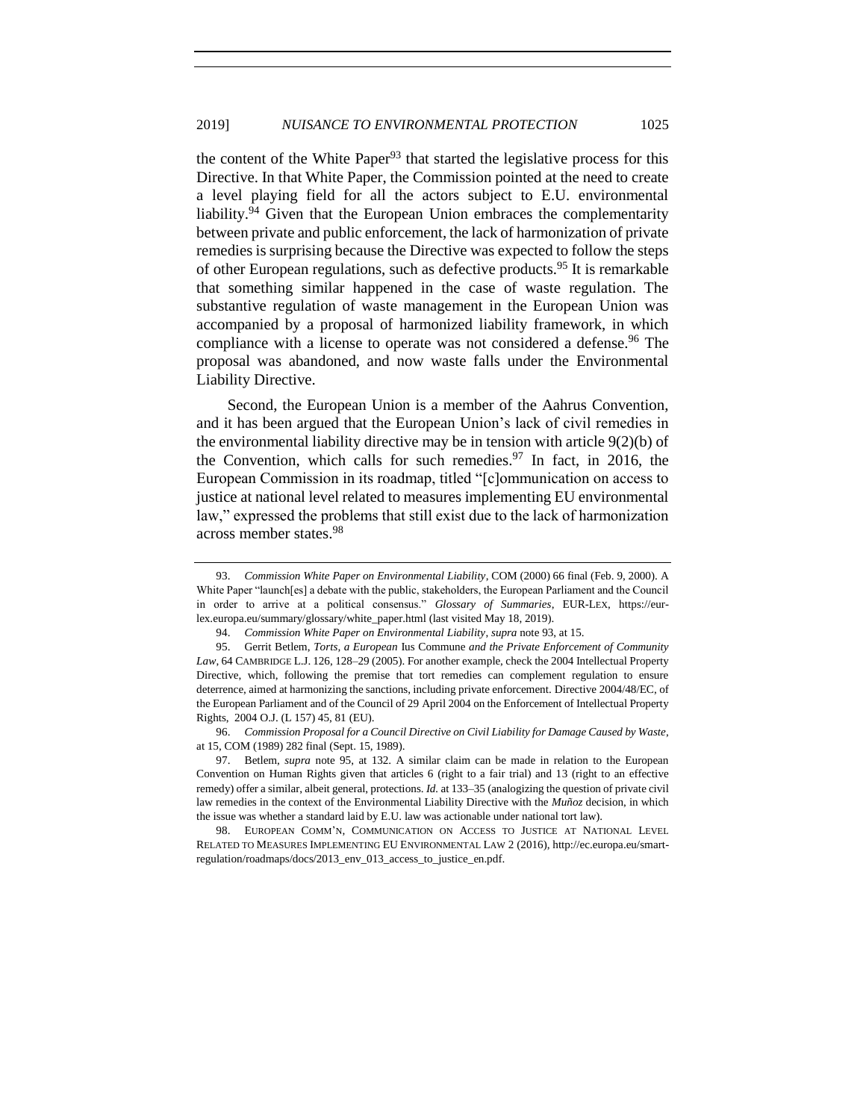the content of the White Paper<sup>93</sup> that started the legislative process for this Directive. In that White Paper, the Commission pointed at the need to create a level playing field for all the actors subject to E.U. environmental liability.<sup>94</sup> Given that the European Union embraces the complementarity between private and public enforcement, the lack of harmonization of private remedies is surprising because the Directive was expected to follow the steps of other European regulations, such as defective products.<sup>95</sup> It is remarkable that something similar happened in the case of waste regulation. The substantive regulation of waste management in the European Union was accompanied by a proposal of harmonized liability framework, in which compliance with a license to operate was not considered a defense.<sup>96</sup> The proposal was abandoned, and now waste falls under the Environmental Liability Directive.

Second, the European Union is a member of the Aahrus Convention, and it has been argued that the European Union's lack of civil remedies in the environmental liability directive may be in tension with article  $9(2)(b)$  of the Convention, which calls for such remedies.<sup>97</sup> In fact, in 2016, the European Commission in its roadmap, titled "[c]ommunication on access to justice at national level related to measures implementing EU environmental law," expressed the problems that still exist due to the lack of harmonization across member states.<sup>98</sup>

96. *Commission Proposal for a Council Directive on Civil Liability for Damage Caused by Waste*, at 15, COM (1989) 282 final (Sept. 15, 1989).

<sup>93.</sup> *Commission White Paper on Environmental Liability*, COM (2000) 66 final (Feb. 9, 2000). A White Paper "launch[es] a debate with the public, stakeholders, the European Parliament and the Council in order to arrive at a political consensus." *Glossary of Summaries*, EUR-LEX, https://eurlex.europa.eu/summary/glossary/white\_paper.html (last visited May 18, 2019).

<sup>94.</sup> *Commission White Paper on Environmental Liability*, *supra* not[e 93,](#page-21-1) at 15.

<sup>95.</sup> Gerrit Betlem, *Torts, a European* Ius Commune *and the Private Enforcement of Community Law*, 64 CAMBRIDGE L.J. 126, 128–29 (2005). For another example, check the 2004 Intellectual Property Directive, which, following the premise that tort remedies can complement regulation to ensure deterrence, aimed at harmonizing the sanctions, including private enforcement. Directive 2004/48/EC, of the European Parliament and of the Council of 29 April 2004 on the Enforcement of Intellectual Property Rights, 2004 O.J. (L 157) 45, 81 (EU).

<sup>97.</sup> Betlem, *supra* note [95,](#page-21-1) at 132. A similar claim can be made in relation to the European Convention on Human Rights given that articles 6 (right to a fair trial) and 13 (right to an effective remedy) offer a similar, albeit general, protections. *Id.* at 133–35 (analogizing the question of private civil law remedies in the context of the Environmental Liability Directive with the *Muñoz* decision, in which the issue was whether a standard laid by E.U. law was actionable under national tort law).

<sup>98.</sup> EUROPEAN COMM'N, COMMUNICATION ON ACCESS TO JUSTICE AT NATIONAL LEVEL RELATED TO MEASURES IMPLEMENTING EU ENVIRONMENTAL LAW 2 (2016), http://ec.europa.eu/smartregulation/roadmaps/docs/2013\_env\_013\_access\_to\_justice\_en.pdf.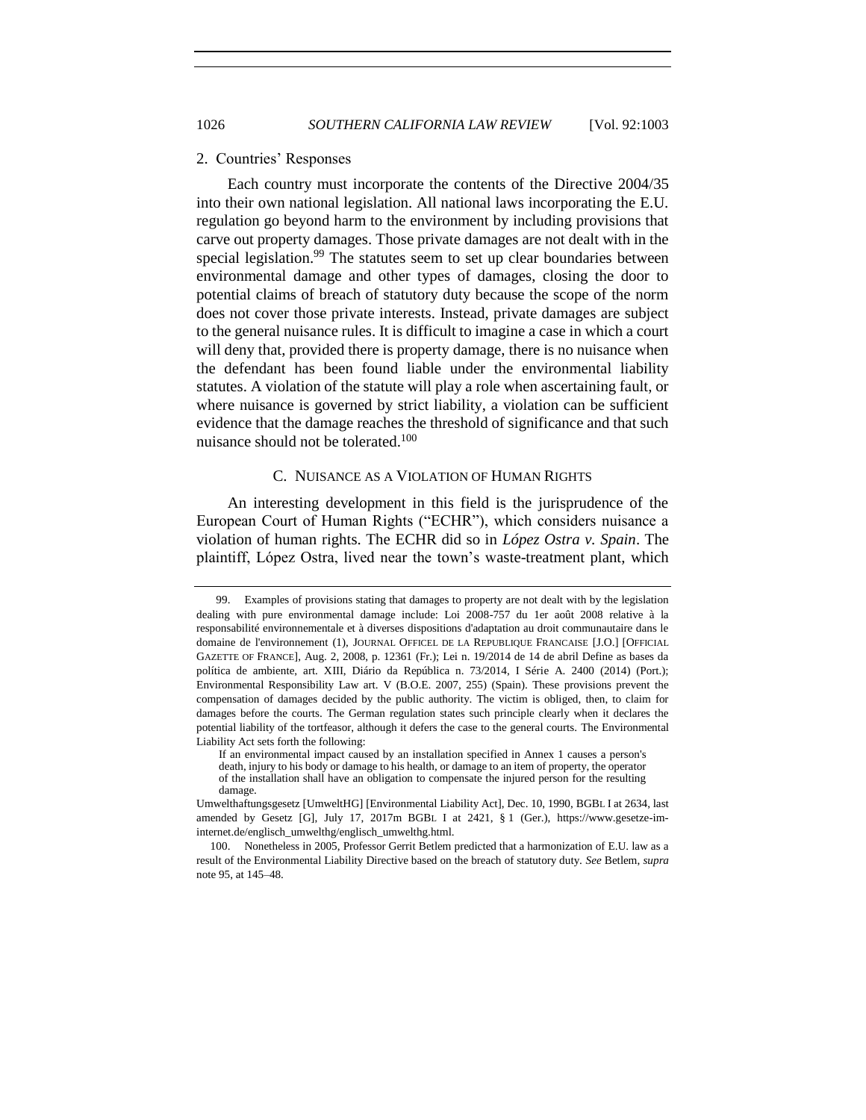#### 2. Countries' Responses

Each country must incorporate the contents of the Directive 2004/35 into their own national legislation. All national laws incorporating the E.U. regulation go beyond harm to the environment by including provisions that carve out property damages. Those private damages are not dealt with in the special legislation.<sup>99</sup> The statutes seem to set up clear boundaries between environmental damage and other types of damages, closing the door to potential claims of breach of statutory duty because the scope of the norm does not cover those private interests. Instead, private damages are subject to the general nuisance rules. It is difficult to imagine a case in which a court will deny that, provided there is property damage, there is no nuisance when the defendant has been found liable under the environmental liability statutes. A violation of the statute will play a role when ascertaining fault, or where nuisance is governed by strict liability, a violation can be sufficient evidence that the damage reaches the threshold of significance and that such nuisance should not be tolerated.<sup>100</sup>

## C. NUISANCE AS A VIOLATION OF HUMAN RIGHTS

An interesting development in this field is the jurisprudence of the European Court of Human Rights ("ECHR"), which considers nuisance a violation of human rights. The ECHR did so in *López Ostra v. Spain*. The plaintiff, López Ostra, lived near the town's waste-treatment plant, which

<sup>99.</sup> Examples of provisions stating that damages to property are not dealt with by the legislation dealing with pure environmental damage include: Loi 2008-757 du 1er août 2008 relative à la responsabilité environnementale et à diverses dispositions d'adaptation au droit communautaire dans le domaine de l'environnement (1), JOURNAL OFFICEL DE LA REPUBLIQUE FRANCAISE [J.O.] [OFFICIAL GAZETTE OF FRANCE], Aug. 2, 2008, p. 12361 (Fr.); Lei n. 19/2014 de 14 de abril Define as bases da política de ambiente, art. XIII, Diário da República n. 73/2014, I Série A. 2400 (2014) (Port.); Environmental Responsibility Law art. V (B.O.E. 2007, 255) (Spain). These provisions prevent the compensation of damages decided by the public authority. The victim is obliged, then, to claim for damages before the courts. The German regulation states such principle clearly when it declares the potential liability of the tortfeasor, although it defers the case to the general courts. The Environmental Liability Act sets forth the following:

If an environmental impact caused by an installation specified in Annex 1 causes a person's death, injury to his body or damage to his health, or damage to an item of property, the operator of the installation shall have an obligation to compensate the injured person for the resulting damage.

Umwelthaftungsgesetz [UmweltHG] [Environmental Liability Act], Dec. 10, 1990, BGBL I at 2634, last amended by Gesetz [G], July 17, 2017m BGBL I at 2421, § 1 (Ger.), https://www.gesetze-iminternet.de/englisch\_umwelthg/englisch\_umwelthg.html.

<sup>100.</sup> Nonetheless in 2005, Professor Gerrit Betlem predicted that a harmonization of E.U. law as a result of the Environmental Liability Directive based on the breach of statutory duty. *See* Betlem, *supra*  note [95,](#page-21-1) at 145–48.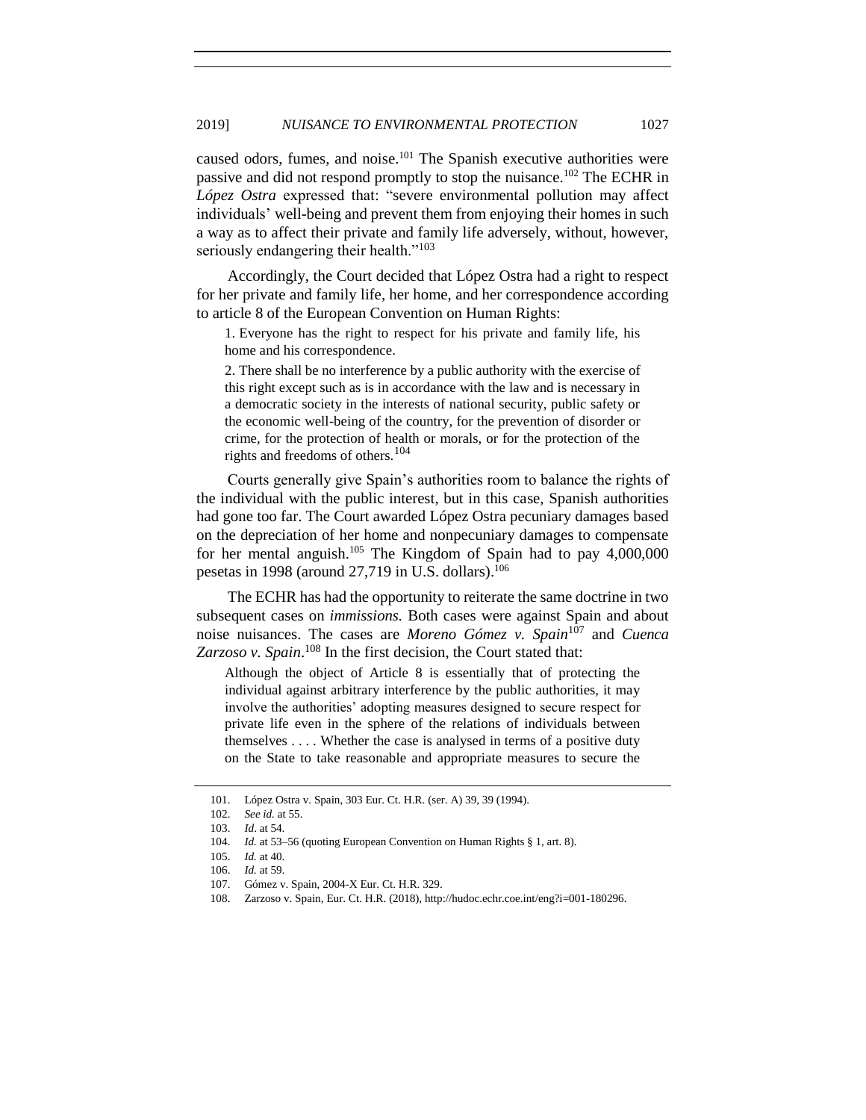caused odors, fumes, and noise.<sup>101</sup> The Spanish executive authorities were passive and did not respond promptly to stop the nuisance.<sup>102</sup> The ECHR in *López Ostra* expressed that: "severe environmental pollution may affect individuals' well-being and prevent them from enjoying their homes in such a way as to affect their private and family life adversely, without, however, seriously endangering their health."<sup>103</sup>

Accordingly, the Court decided that López Ostra had a right to respect for her private and family life, her home, and her correspondence according to article 8 of the European Convention on Human Rights:

1. Everyone has the right to respect for his private and family life, his home and his correspondence.

2. There shall be no interference by a public authority with the exercise of this right except such as is in accordance with the law and is necessary in a democratic society in the interests of national security, public safety or the economic well-being of the country, for the prevention of disorder or crime, for the protection of health or morals, or for the protection of the rights and freedoms of others.<sup>104</sup>

Courts generally give Spain's authorities room to balance the rights of the individual with the public interest, but in this case, Spanish authorities had gone too far. The Court awarded López Ostra pecuniary damages based on the depreciation of her home and nonpecuniary damages to compensate for her mental anguish.<sup>105</sup> The Kingdom of Spain had to pay  $4,000,000$ pesetas in 1998 (around  $27,719$  in U.S. dollars).<sup>106</sup>

The ECHR has had the opportunity to reiterate the same doctrine in two subsequent cases on *immissions.* Both cases were against Spain and about noise nuisances. The cases are *Moreno Gómez v. Spain*<sup>107</sup> and *Cuenca*  Zarzoso v. Spain.<sup>108</sup> In the first decision, the Court stated that:

Although the object of Article 8 is essentially that of protecting the individual against arbitrary interference by the public authorities, it may involve the authorities' adopting measures designed to secure respect for private life even in the sphere of the relations of individuals between themselves . . . . Whether the case is analysed in terms of a positive duty on the State to take reasonable and appropriate measures to secure the

<sup>101.</sup> López Ostra v. Spain, 303 Eur. Ct. H.R. (ser. A) 39, 39 (1994).

<sup>102.</sup> *See id.* at 55.

<sup>103.</sup> *Id*. at 54.

<sup>104.</sup> *Id.* at 53–56 (quoting European Convention on Human Rights § 1, art. 8).

<sup>105.</sup> *Id.* at 40.

<sup>106.</sup> *Id.* at 59.

<sup>107.</sup> Gómez v. Spain, 2004-X Eur. Ct. H.R. 329.

<sup>108.</sup> Zarzoso v. Spain, Eur. Ct. H.R. (2018), http://hudoc.echr.coe.int/eng?i=001-180296.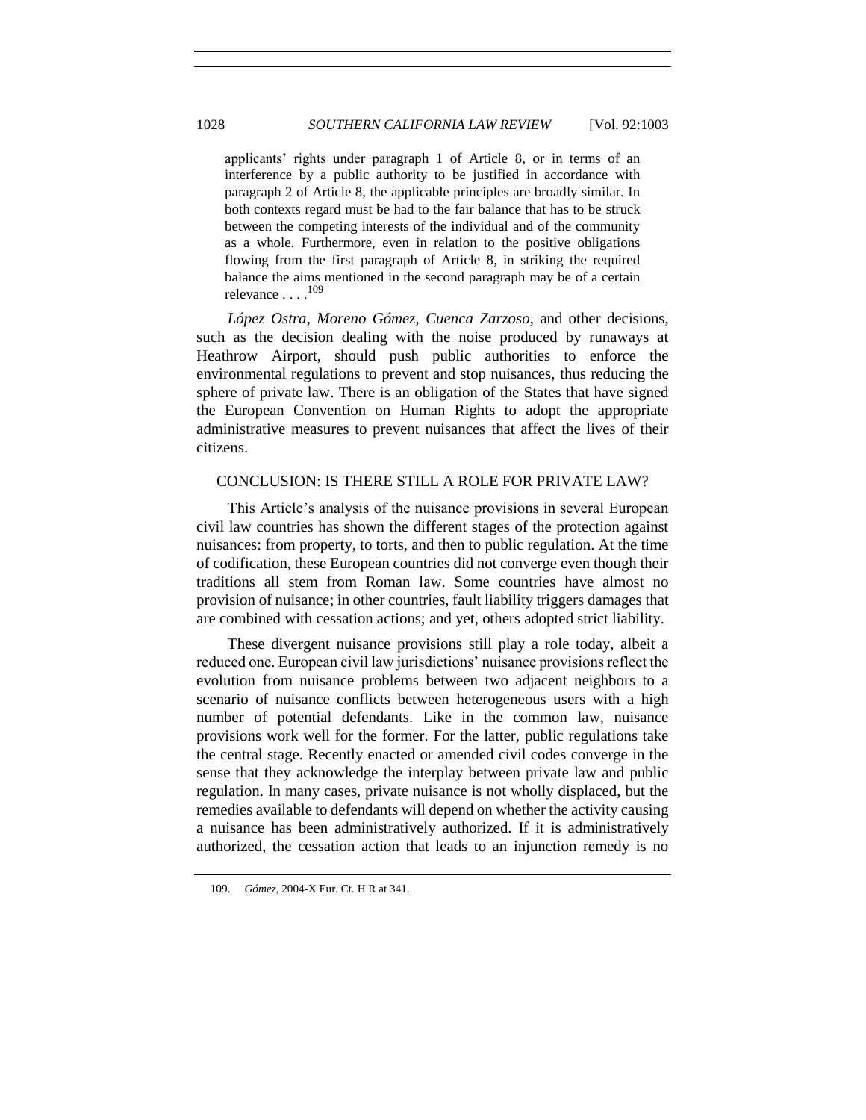applicants' rights under paragraph 1 of Article 8, or in terms of an interference by a public authority to be justified in accordance with paragraph 2 of Article 8, the applicable principles are broadly similar. In both contexts regard must be had to the fair balance that has to be struck between the competing interests of the individual and of the community as a whole. Furthermore, even in relation to the positive obligations flowing from the first paragraph of Article 8, in striking the required balance the aims mentioned in the second paragraph may be of a certain relevance . . . . 109

*López Ostra*, *Moreno Gómez*, *Cuenca Zarzoso*, and other decisions, such as the decision dealing with the noise produced by runaways at Heathrow Airport, should push public authorities to enforce the environmental regulations to prevent and stop nuisances, thus reducing the sphere of private law. There is an obligation of the States that have signed the European Convention on Human Rights to adopt the appropriate administrative measures to prevent nuisances that affect the lives of their citizens.

## CONCLUSION: IS THERE STILL A ROLE FOR PRIVATE LAW?

This Article's analysis of the nuisance provisions in several European civil law countries has shown the different stages of the protection against nuisances: from property, to torts, and then to public regulation. At the time of codification, these European countries did not converge even though their traditions all stem from Roman law. Some countries have almost no provision of nuisance; in other countries, fault liability triggers damages that are combined with cessation actions; and yet, others adopted strict liability.

These divergent nuisance provisions still play a role today, albeit a reduced one. European civil law jurisdictions' nuisance provisions reflect the evolution from nuisance problems between two adjacent neighbors to a scenario of nuisance conflicts between heterogeneous users with a high number of potential defendants. Like in the common law, nuisance provisions work well for the former. For the latter, public regulations take the central stage. Recently enacted or amended civil codes converge in the sense that they acknowledge the interplay between private law and public regulation. In many cases, private nuisance is not wholly displaced, but the remedies available to defendants will depend on whether the activity causing a nuisance has been administratively authorized. If it is administratively authorized, the cessation action that leads to an injunction remedy is no

<sup>109.</sup> *Gómez*, 2004-X Eur. Ct. H.R at 341.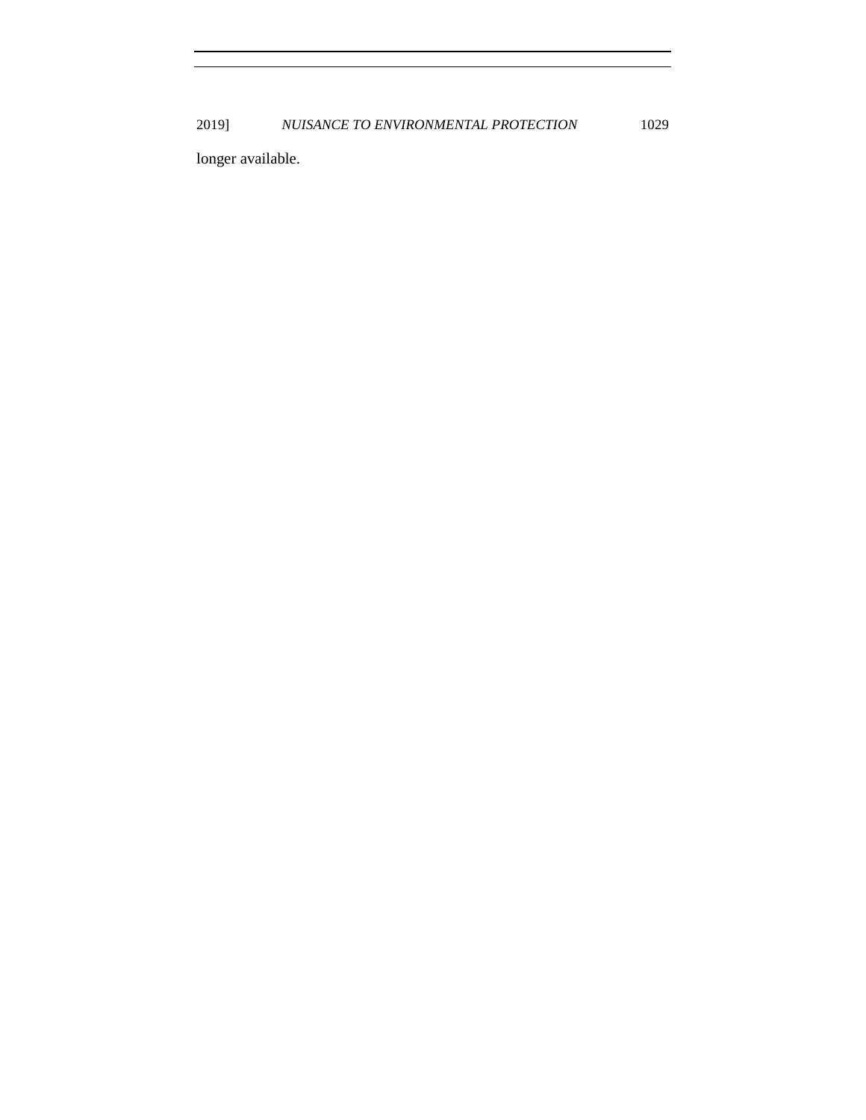2019] *NUISANCE TO ENVIRONMENTAL PROTECTION* 1029

longer available.